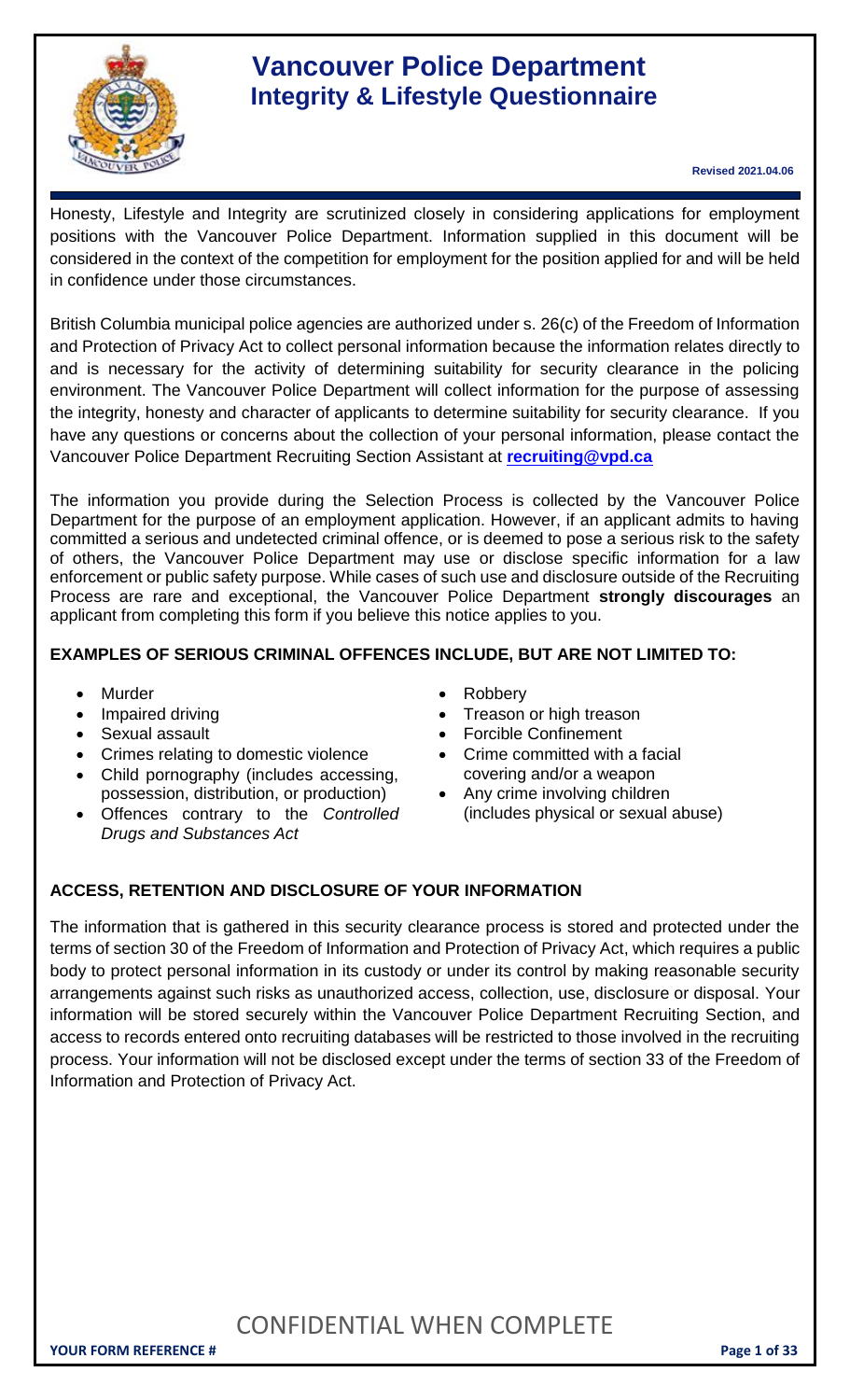

 **Revised 2021.04.06**

Honesty, Lifestyle and Integrity are scrutinized closely in considering applications for employment positions with the Vancouver Police Department. Information supplied in this document will be considered in the context of the competition for employment for the position applied for and will be held in confidence under those circumstances.

British Columbia municipal police agencies are authorized under s. 26(c) of the Freedom of Information and Protection of Privacy Act to collect personal information because the information relates directly to and is necessary for the activity of determining suitability for security clearance in the policing environment. The Vancouver Police Department will collect information for the purpose of assessing the integrity, honesty and character of applicants to determine suitability for security clearance. If you have any questions or concerns about the collection of your personal information, please contact the Vancouver Police Department Recruiting Section Assistant at **[recruiting@vpd.ca](mailto:recruiting@vpd.ca)**

The information you provide during the Selection Process is collected by the Vancouver Police Department for the purpose of an employment application. However, if an applicant admits to having committed a serious and undetected criminal offence, or is deemed to pose a serious risk to the safety of others, the Vancouver Police Department may use or disclose specific information for a law enforcement or public safety purpose. While cases of such use and disclosure outside of the Recruiting Process are rare and exceptional, the Vancouver Police Department **strongly discourages** an applicant from completing this form if you believe this notice applies to you.

#### **EXAMPLES OF SERIOUS CRIMINAL OFFENCES INCLUDE, BUT ARE NOT LIMITED TO:**

- Murder
- Impaired driving
- Sexual assault
- Crimes relating to domestic violence
- Child pornography (includes accessing, possession, distribution, or production)
- Offences contrary to the *Controlled Drugs and Substances Act*
- Robbery
- Treason or high treason
- Forcible Confinement
- Crime committed with a facial covering and/or a weapon
- Any crime involving children (includes physical or sexual abuse)

#### **ACCESS, RETENTION AND DISCLOSURE OF YOUR INFORMATION**

The information that is gathered in this security clearance process is stored and protected under the terms of section 30 of the Freedom of Information and Protection of Privacy Act, which requires a public body to protect personal information in its custody or under its control by making reasonable security arrangements against such risks as unauthorized access, collection, use, disclosure or disposal. Your information will be stored securely within the Vancouver Police Department Recruiting Section, and access to records entered onto recruiting databases will be restricted to those involved in the recruiting process. Your information will not be disclosed except under the terms of section 33 of the Freedom of Information and Protection of Privacy Act.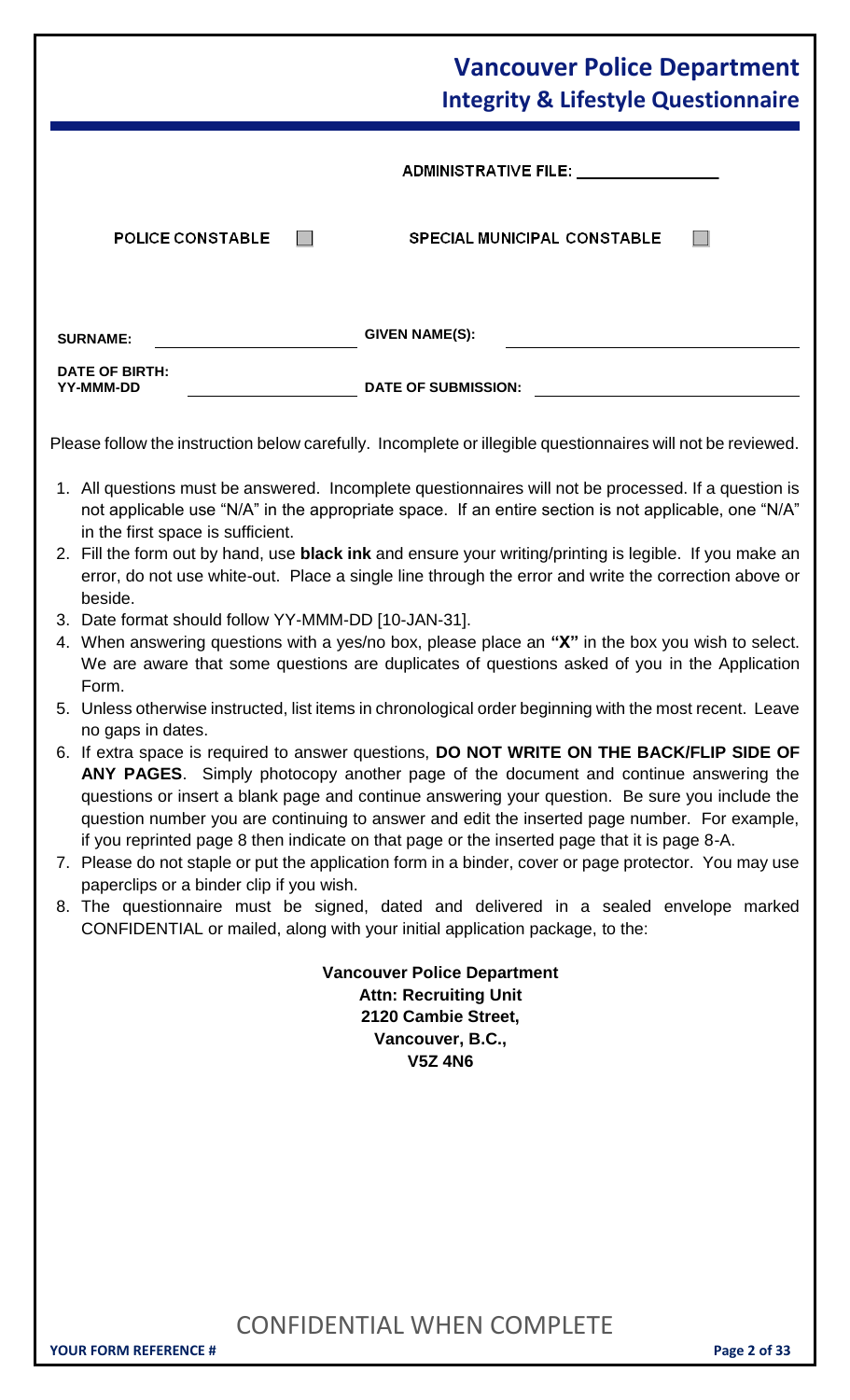|                                                              | <b>Vancouver Police Department</b><br><b>Integrity &amp; Lifestyle Questionnaire</b>                                                                                                                                                                                                                                                                                                                                                                                                                                                                                                       |
|--------------------------------------------------------------|--------------------------------------------------------------------------------------------------------------------------------------------------------------------------------------------------------------------------------------------------------------------------------------------------------------------------------------------------------------------------------------------------------------------------------------------------------------------------------------------------------------------------------------------------------------------------------------------|
|                                                              | ADMINISTRATIVE FILE: _______________                                                                                                                                                                                                                                                                                                                                                                                                                                                                                                                                                       |
| <b>POLICE CONSTABLE</b>                                      | <b>SPECIAL MUNICIPAL CONSTABLE</b>                                                                                                                                                                                                                                                                                                                                                                                                                                                                                                                                                         |
| <u> 1980 - Johann Barbara, martxa a</u><br><b>SURNAME:</b>   | <b>GIVEN NAME(S):</b>                                                                                                                                                                                                                                                                                                                                                                                                                                                                                                                                                                      |
| <b>DATE OF BIRTH:</b><br>YY-MMM-DD                           | <b>DATE OF SUBMISSION:</b><br><u> 1980 - Andrea Andrew Maria (h. 1980).</u>                                                                                                                                                                                                                                                                                                                                                                                                                                                                                                                |
|                                                              | Please follow the instruction below carefully. Incomplete or illegible questionnaires will not be reviewed.                                                                                                                                                                                                                                                                                                                                                                                                                                                                                |
| in the first space is sufficient.                            | 1. All questions must be answered. Incomplete questionnaires will not be processed. If a question is<br>not applicable use "N/A" in the appropriate space. If an entire section is not applicable, one "N/A"                                                                                                                                                                                                                                                                                                                                                                               |
| beside.                                                      | 2. Fill the form out by hand, use black ink and ensure your writing/printing is legible. If you make an<br>error, do not use white-out. Place a single line through the error and write the correction above or                                                                                                                                                                                                                                                                                                                                                                            |
| 3. Date format should follow YY-MMM-DD [10-JAN-31].<br>Form. | 4. When answering questions with a yes/no box, please place an "X" in the box you wish to select.<br>We are aware that some questions are duplicates of questions asked of you in the Application                                                                                                                                                                                                                                                                                                                                                                                          |
| no gaps in dates.                                            | 5. Unless otherwise instructed, list items in chronological order beginning with the most recent. Leave                                                                                                                                                                                                                                                                                                                                                                                                                                                                                    |
| paperclips or a binder clip if you wish.                     | 6. If extra space is required to answer questions, DO NOT WRITE ON THE BACK/FLIP SIDE OF<br>ANY PAGES. Simply photocopy another page of the document and continue answering the<br>questions or insert a blank page and continue answering your question. Be sure you include the<br>question number you are continuing to answer and edit the inserted page number. For example,<br>if you reprinted page 8 then indicate on that page or the inserted page that it is page 8-A.<br>7. Please do not staple or put the application form in a binder, cover or page protector. You may use |
|                                                              | 8. The questionnaire must be signed, dated and delivered in a sealed envelope marked<br>CONFIDENTIAL or mailed, along with your initial application package, to the:                                                                                                                                                                                                                                                                                                                                                                                                                       |
|                                                              | <b>Vancouver Police Department</b><br><b>Attn: Recruiting Unit</b><br>2120 Cambie Street,<br>Vancouver, B.C.,<br><b>V5Z 4N6</b>                                                                                                                                                                                                                                                                                                                                                                                                                                                            |
|                                                              |                                                                                                                                                                                                                                                                                                                                                                                                                                                                                                                                                                                            |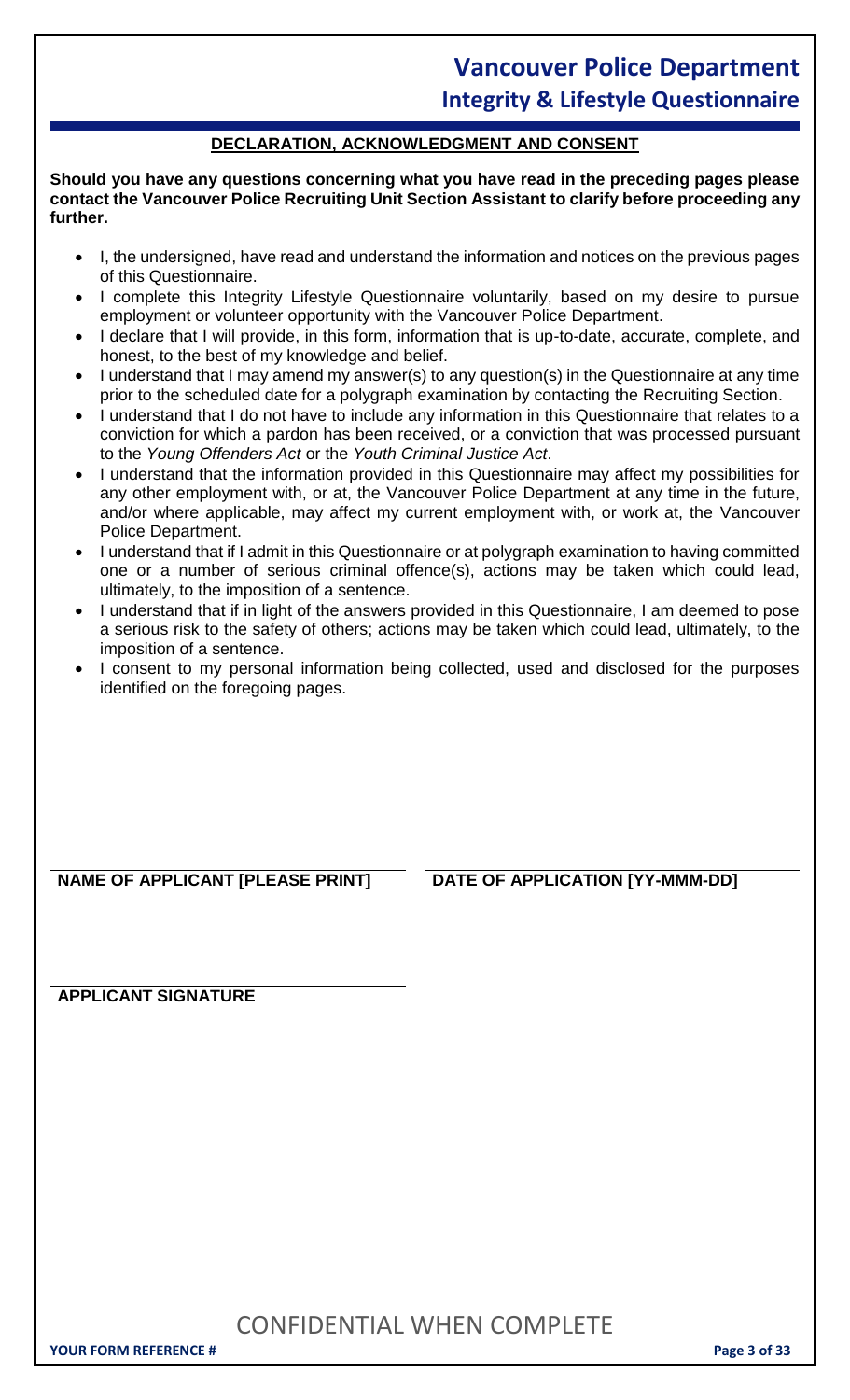#### **DECLARATION, ACKNOWLEDGMENT AND CONSENT**

**Should you have any questions concerning what you have read in the preceding pages please contact the Vancouver Police Recruiting Unit Section Assistant to clarify before proceeding any further.** 

- I, the undersigned, have read and understand the information and notices on the previous pages of this Questionnaire.
- I complete this Integrity Lifestyle Questionnaire voluntarily, based on my desire to pursue employment or volunteer opportunity with the Vancouver Police Department.
- I declare that I will provide, in this form, information that is up-to-date, accurate, complete, and honest, to the best of my knowledge and belief.
- I understand that I may amend my answer(s) to any question(s) in the Questionnaire at any time prior to the scheduled date for a polygraph examination by contacting the Recruiting Section.
- I understand that I do not have to include any information in this Questionnaire that relates to a conviction for which a pardon has been received, or a conviction that was processed pursuant to the *Young Offenders Act* or the *Youth Criminal Justice Act*.
- I understand that the information provided in this Questionnaire may affect my possibilities for any other employment with, or at, the Vancouver Police Department at any time in the future, and/or where applicable, may affect my current employment with, or work at, the Vancouver Police Department.
- I understand that if I admit in this Questionnaire or at polygraph examination to having committed one or a number of serious criminal offence(s), actions may be taken which could lead, ultimately, to the imposition of a sentence.
- I understand that if in light of the answers provided in this Questionnaire, I am deemed to pose a serious risk to the safety of others; actions may be taken which could lead, ultimately, to the imposition of a sentence.
- I consent to my personal information being collected, used and disclosed for the purposes identified on the foregoing pages.

**NAME OF APPLICANT [PLEASE PRINT] DATE OF APPLICATION [YY-MMM-DD]** 

**APPLICANT SIGNATURE**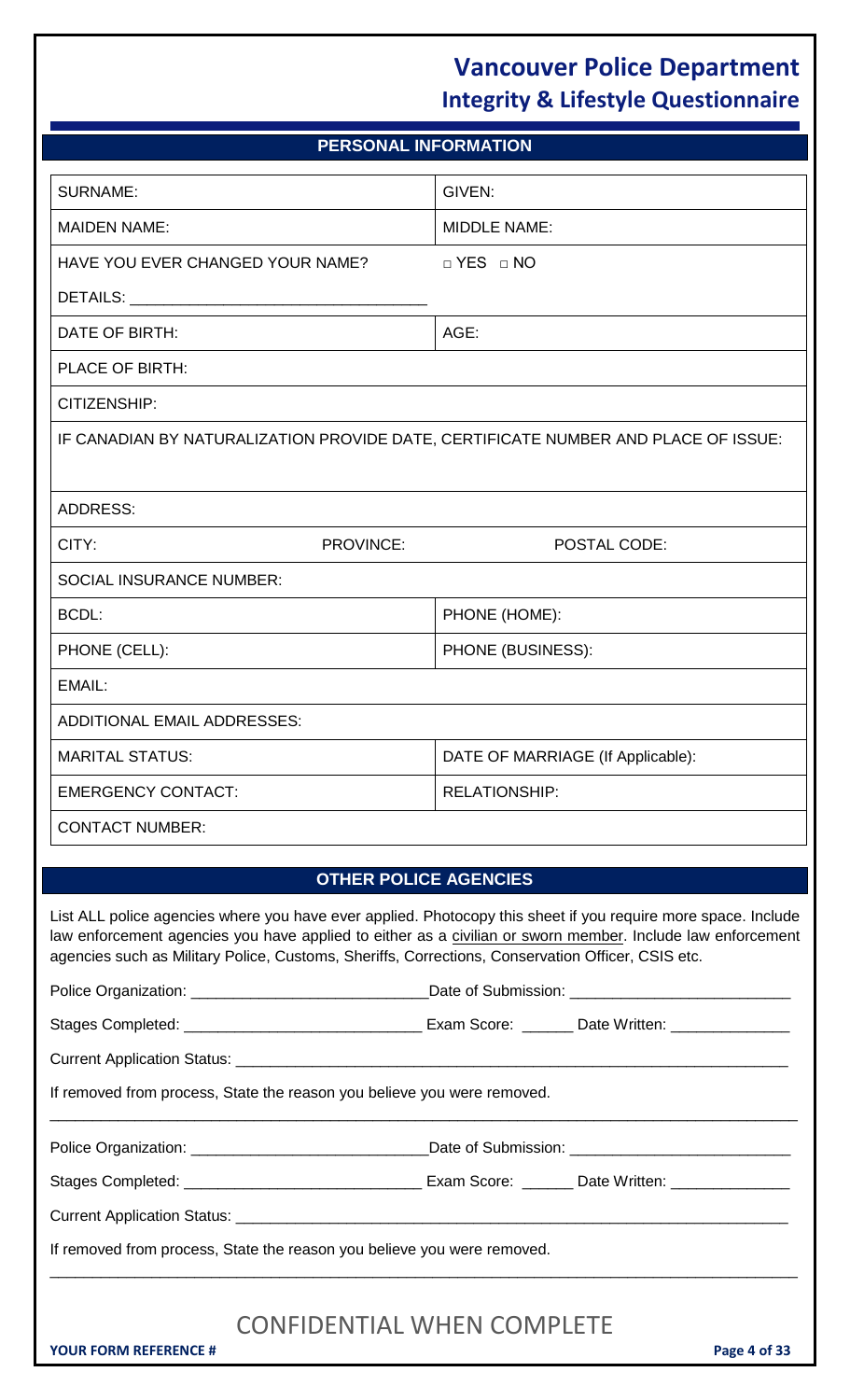|                                                                                                                 | <b>PERSONAL INFORMATION</b>  |                                                                                                                                                                                                                             |
|-----------------------------------------------------------------------------------------------------------------|------------------------------|-----------------------------------------------------------------------------------------------------------------------------------------------------------------------------------------------------------------------------|
| <b>SURNAME:</b>                                                                                                 |                              | GIVEN:                                                                                                                                                                                                                      |
| <b>MAIDEN NAME:</b>                                                                                             |                              | <b>MIDDLE NAME:</b>                                                                                                                                                                                                         |
| HAVE YOU EVER CHANGED YOUR NAME?                                                                                |                              | $\neg$ YES $\neg$ NO                                                                                                                                                                                                        |
| DETAILS: University Property of the University Property of the University Property of the University Property I |                              |                                                                                                                                                                                                                             |
| DATE OF BIRTH:                                                                                                  |                              | AGE:                                                                                                                                                                                                                        |
| PLACE OF BIRTH:                                                                                                 |                              |                                                                                                                                                                                                                             |
| CITIZENSHIP:                                                                                                    |                              |                                                                                                                                                                                                                             |
|                                                                                                                 |                              | IF CANADIAN BY NATURALIZATION PROVIDE DATE, CERTIFICATE NUMBER AND PLACE OF ISSUE:                                                                                                                                          |
| <b>ADDRESS:</b>                                                                                                 |                              |                                                                                                                                                                                                                             |
| CITY:                                                                                                           | <b>PROVINCE:</b>             | <b>POSTAL CODE:</b>                                                                                                                                                                                                         |
| <b>SOCIAL INSURANCE NUMBER:</b>                                                                                 |                              |                                                                                                                                                                                                                             |
| BCDL:                                                                                                           |                              | PHONE (HOME):                                                                                                                                                                                                               |
| PHONE (CELL):                                                                                                   |                              | PHONE (BUSINESS):                                                                                                                                                                                                           |
| EMAIL:                                                                                                          |                              |                                                                                                                                                                                                                             |
| <b>ADDITIONAL EMAIL ADDRESSES:</b>                                                                              |                              |                                                                                                                                                                                                                             |
| <b>MARITAL STATUS:</b>                                                                                          |                              | DATE OF MARRIAGE (If Applicable):                                                                                                                                                                                           |
| <b>EMERGENCY CONTACT:</b>                                                                                       |                              | <b>RELATIONSHIP:</b>                                                                                                                                                                                                        |
| <b>CONTACT NUMBER:</b>                                                                                          |                              |                                                                                                                                                                                                                             |
|                                                                                                                 |                              | and the control of the control of the control of the control of the control of the control of the control of the                                                                                                            |
|                                                                                                                 | <b>OTHER POLICE AGENCIES</b> |                                                                                                                                                                                                                             |
| agencies such as Military Police, Customs, Sheriffs, Corrections, Conservation Officer, CSIS etc.               |                              | List ALL police agencies where you have ever applied. Photocopy this sheet if you require more space. Include<br>law enforcement agencies you have applied to either as a civilian or sworn member. Include law enforcement |
|                                                                                                                 |                              | Police Organization: ___________________________________Date of Submission: _________________________________                                                                                                               |
|                                                                                                                 |                              |                                                                                                                                                                                                                             |
|                                                                                                                 |                              |                                                                                                                                                                                                                             |
| If removed from process, State the reason you believe you were removed.                                         |                              |                                                                                                                                                                                                                             |
|                                                                                                                 |                              | Police Organization: ___________________________________Date of Submission: _________________________________                                                                                                               |
|                                                                                                                 |                              |                                                                                                                                                                                                                             |
|                                                                                                                 |                              |                                                                                                                                                                                                                             |
| If removed from process, State the reason you believe you were removed.                                         |                              |                                                                                                                                                                                                                             |
|                                                                                                                 |                              |                                                                                                                                                                                                                             |
| <b>YOUR FORM REFERENCE #</b>                                                                                    |                              | <b>CONFIDENTIAL WHEN COMPLETE</b><br>Page 4 of 33                                                                                                                                                                           |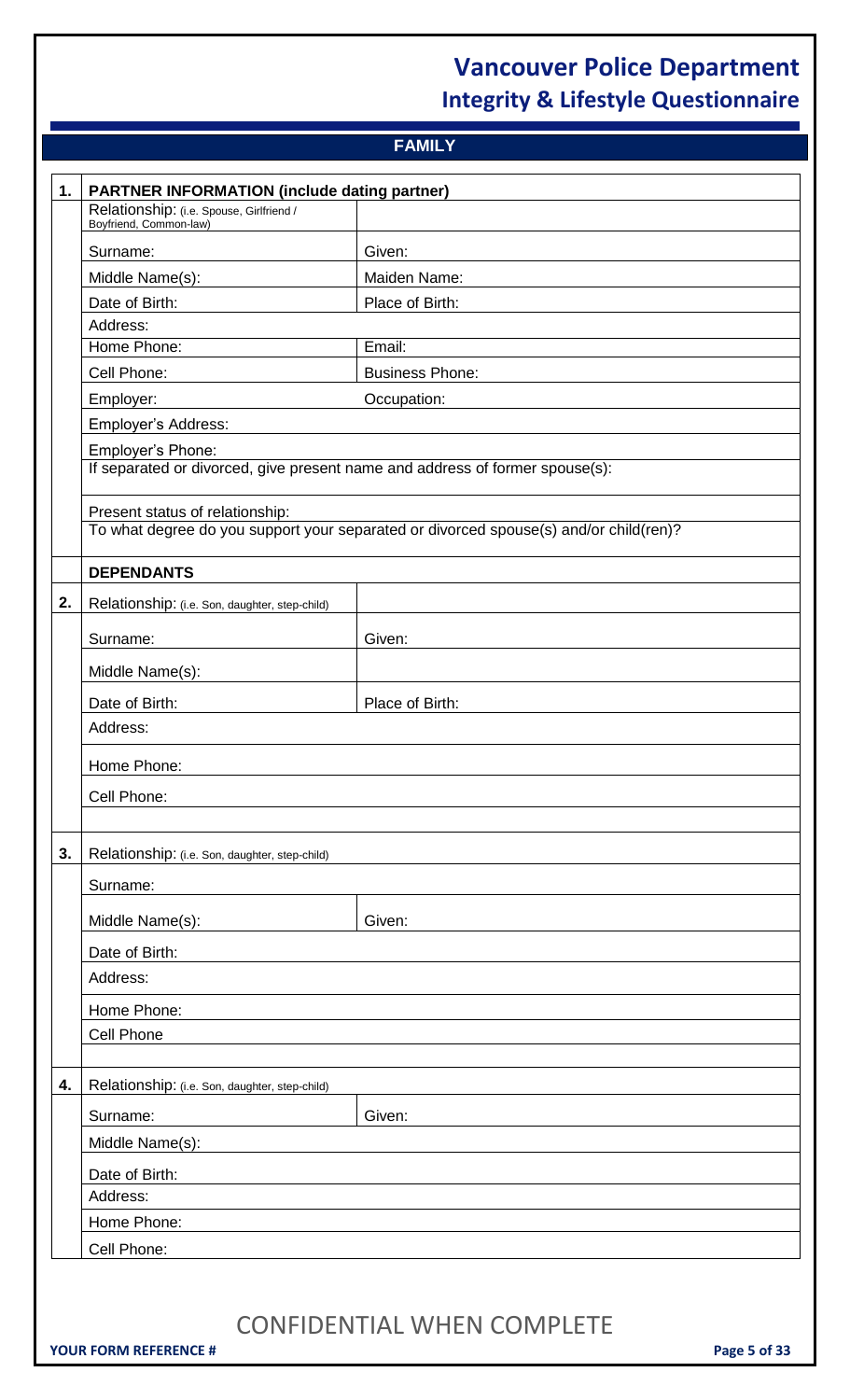| <b>FAMILY</b> |                                                      |                                                                                                                                                                       |  |  |  |
|---------------|------------------------------------------------------|-----------------------------------------------------------------------------------------------------------------------------------------------------------------------|--|--|--|
| 1.            | <b>PARTNER INFORMATION (include dating partner)</b>  |                                                                                                                                                                       |  |  |  |
|               | Relationship: (i.e. Spouse, Girlfriend /             |                                                                                                                                                                       |  |  |  |
|               | Boyfriend, Common-law)                               |                                                                                                                                                                       |  |  |  |
|               | Surname:                                             | Given:                                                                                                                                                                |  |  |  |
|               | Middle Name(s):                                      | Maiden Name:                                                                                                                                                          |  |  |  |
|               | Date of Birth:<br>Address:                           | Place of Birth:                                                                                                                                                       |  |  |  |
|               | Home Phone:                                          | Email:                                                                                                                                                                |  |  |  |
|               | Cell Phone:                                          | <b>Business Phone:</b>                                                                                                                                                |  |  |  |
|               | Employer:                                            | Occupation:                                                                                                                                                           |  |  |  |
|               | Employer's Address:                                  |                                                                                                                                                                       |  |  |  |
|               | Employer's Phone:<br>Present status of relationship: | If separated or divorced, give present name and address of former spouse(s):<br>To what degree do you support your separated or divorced spouse(s) and/or child(ren)? |  |  |  |
|               | <b>DEPENDANTS</b>                                    |                                                                                                                                                                       |  |  |  |
| 2.            | Relationship: (i.e. Son, daughter, step-child)       |                                                                                                                                                                       |  |  |  |
|               | Surname:                                             | Given:                                                                                                                                                                |  |  |  |
|               | Middle Name(s):                                      |                                                                                                                                                                       |  |  |  |
|               | Date of Birth:                                       | Place of Birth:                                                                                                                                                       |  |  |  |
|               | Address:                                             |                                                                                                                                                                       |  |  |  |
|               | Home Phone:                                          |                                                                                                                                                                       |  |  |  |
|               | Cell Phone:                                          |                                                                                                                                                                       |  |  |  |
| 3.            | Relationship: (i.e. Son, daughter, step-child)       |                                                                                                                                                                       |  |  |  |
|               | Surname:                                             |                                                                                                                                                                       |  |  |  |
|               | Middle Name(s):                                      | Given:                                                                                                                                                                |  |  |  |
|               | Date of Birth:                                       |                                                                                                                                                                       |  |  |  |
|               | Address:                                             |                                                                                                                                                                       |  |  |  |
|               | Home Phone:                                          |                                                                                                                                                                       |  |  |  |
|               | Cell Phone                                           |                                                                                                                                                                       |  |  |  |
|               |                                                      |                                                                                                                                                                       |  |  |  |
| 4.            | Relationship: (i.e. Son, daughter, step-child)       |                                                                                                                                                                       |  |  |  |
|               | Surname:                                             | Given:                                                                                                                                                                |  |  |  |
|               | Middle Name(s):                                      |                                                                                                                                                                       |  |  |  |
|               | Date of Birth:                                       |                                                                                                                                                                       |  |  |  |
|               | Address:                                             |                                                                                                                                                                       |  |  |  |
|               | Home Phone:                                          |                                                                                                                                                                       |  |  |  |
|               | Cell Phone:                                          |                                                                                                                                                                       |  |  |  |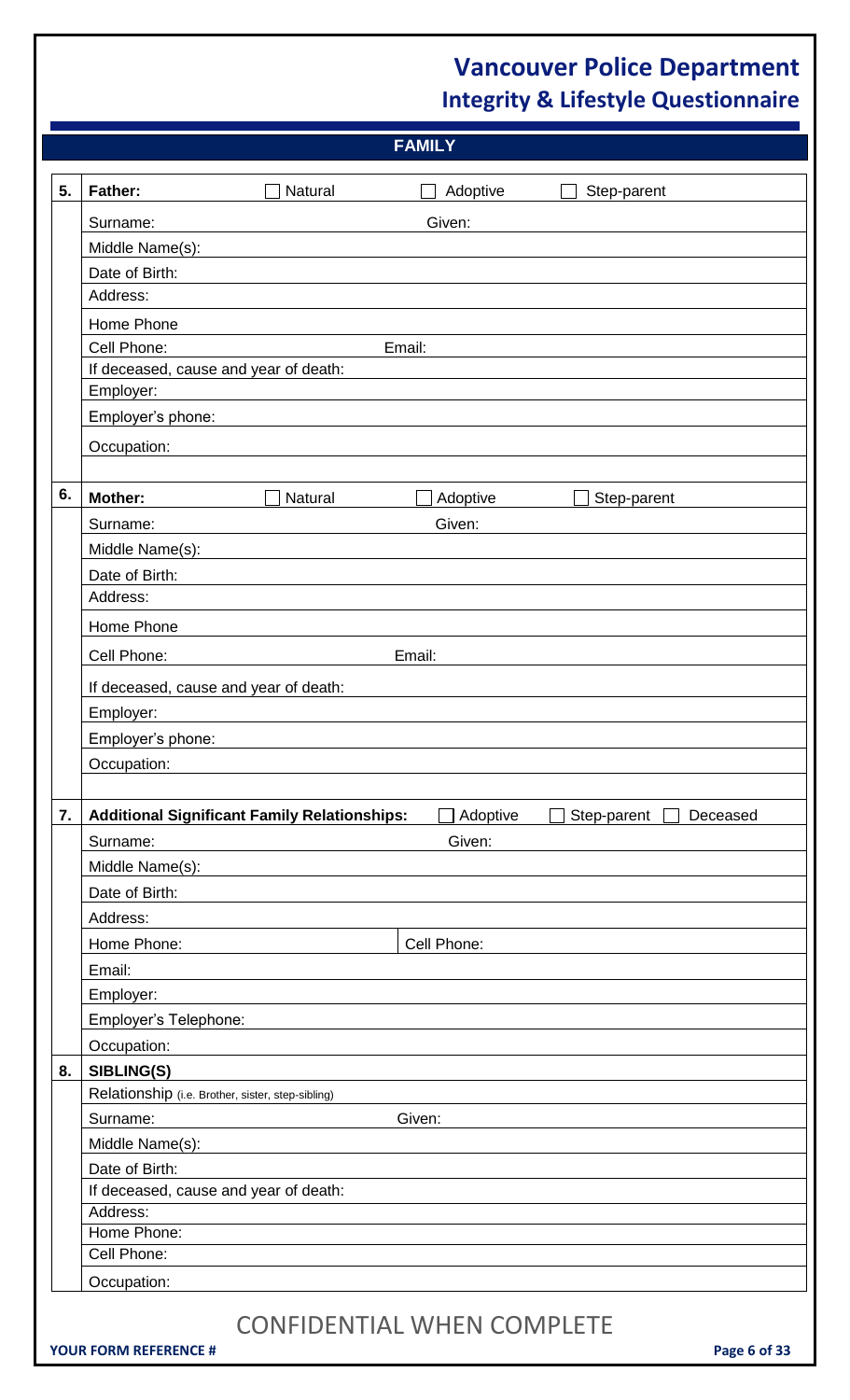|          |                                                    |                                                     | <b>FAMILY</b> |                         |
|----------|----------------------------------------------------|-----------------------------------------------------|---------------|-------------------------|
| 5.       | Father:                                            | Natural                                             | Adoptive      | Step-parent             |
|          |                                                    |                                                     |               |                         |
|          | Surname:                                           |                                                     | Given:        |                         |
|          | Middle Name(s):<br>Date of Birth:                  |                                                     |               |                         |
|          | Address:                                           |                                                     |               |                         |
|          |                                                    |                                                     |               |                         |
|          | Home Phone<br>Cell Phone:                          |                                                     | Email:        |                         |
|          | If deceased, cause and year of death:              |                                                     |               |                         |
|          | Employer:                                          |                                                     |               |                         |
|          | Employer's phone:                                  |                                                     |               |                         |
|          | Occupation:                                        |                                                     |               |                         |
|          |                                                    |                                                     |               |                         |
| 6.       | <b>Mother:</b>                                     | Natural                                             | Adoptive      | Step-parent             |
|          | Surname:                                           |                                                     | Given:        |                         |
|          | Middle Name(s):                                    |                                                     |               |                         |
|          | Date of Birth:                                     |                                                     |               |                         |
|          | Address:                                           |                                                     |               |                         |
|          | Home Phone                                         |                                                     |               |                         |
|          | Cell Phone:                                        |                                                     | Email:        |                         |
|          | If deceased, cause and year of death:<br>Employer: |                                                     |               |                         |
|          | Employer's phone:<br>Occupation:                   |                                                     |               |                         |
|          |                                                    | <b>Additional Significant Family Relationships:</b> | Adoptive      | Step-parent<br>Deceased |
|          | Surname:                                           |                                                     | Given:        |                         |
|          | Middle Name(s):                                    |                                                     |               |                         |
|          | Date of Birth:                                     |                                                     |               |                         |
|          | Address:                                           |                                                     |               |                         |
|          | Home Phone:                                        |                                                     | Cell Phone:   |                         |
|          | Email:                                             |                                                     |               |                         |
|          | Employer:                                          |                                                     |               |                         |
|          | Employer's Telephone:                              |                                                     |               |                         |
|          | Occupation:                                        |                                                     |               |                         |
|          | SIBLING(S)                                         |                                                     |               |                         |
|          | Relationship (i.e. Brother, sister, step-sibling)  |                                                     |               |                         |
|          | Surname:                                           |                                                     | Given:        |                         |
|          | Middle Name(s):                                    |                                                     |               |                         |
| 7.<br>8. | Date of Birth:                                     |                                                     |               |                         |
|          | If deceased, cause and year of death:              |                                                     |               |                         |
|          | Address:<br>Home Phone:                            |                                                     |               |                         |
|          | Cell Phone:                                        |                                                     |               |                         |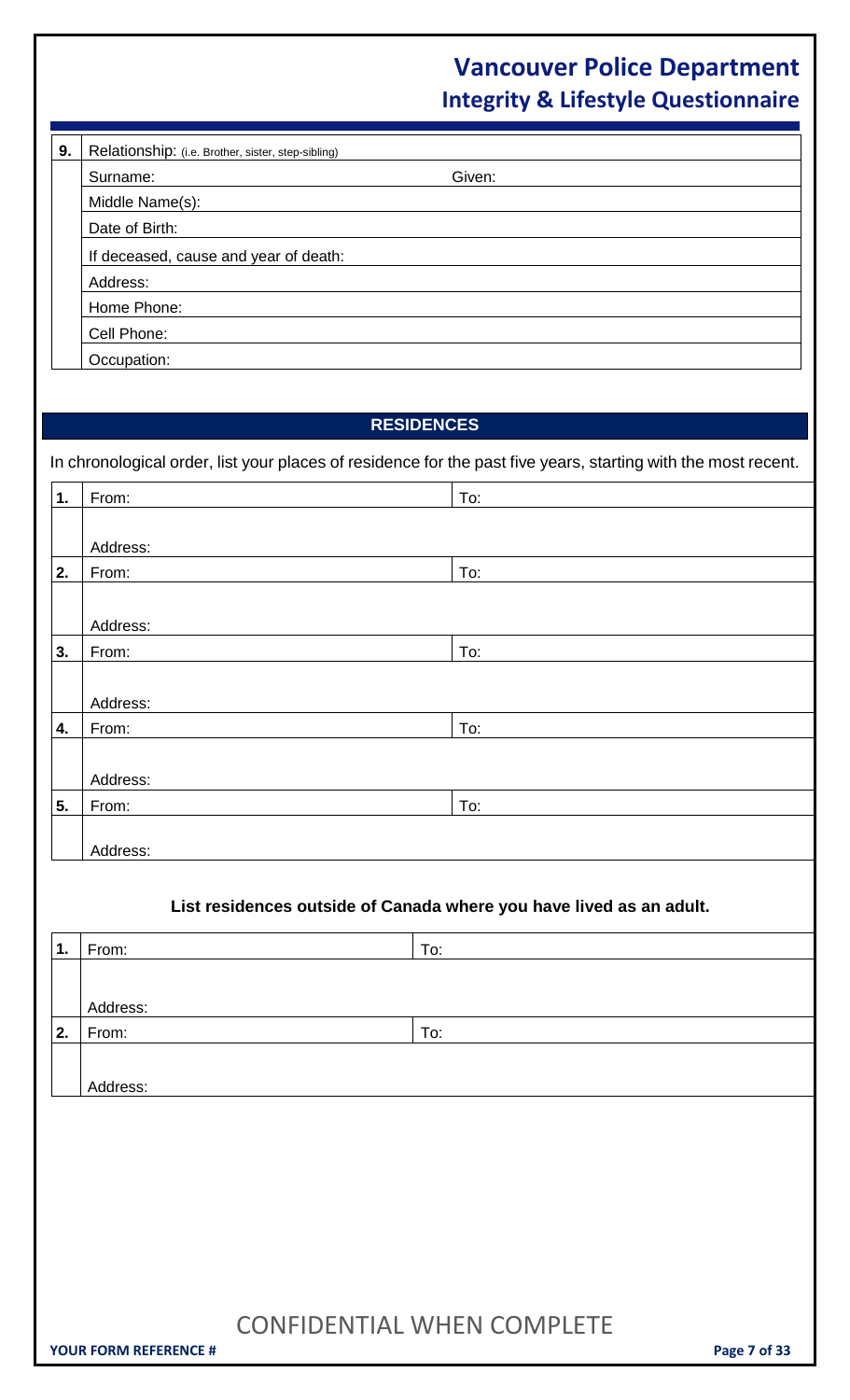| 9. | Relationship: (i.e. Brother, sister, step-sibling) |        |
|----|----------------------------------------------------|--------|
|    | Surname:                                           | Given: |
|    | Middle Name(s):                                    |        |
|    | Date of Birth:                                     |        |
|    | If deceased, cause and year of death:              |        |
|    | Address:                                           |        |
|    | Home Phone:                                        |        |
|    | Cell Phone:                                        |        |
|    | Occupation:                                        |        |

#### **RESIDENCES**

In chronological order, list your places of residence for the past five years, starting with the most recent.

| 1. | From:    | To:                                                                 |
|----|----------|---------------------------------------------------------------------|
|    |          |                                                                     |
|    | Address: |                                                                     |
| 2. | From:    | To:                                                                 |
|    |          |                                                                     |
|    | Address: |                                                                     |
| 3. | From:    | To:                                                                 |
|    |          |                                                                     |
|    | Address: |                                                                     |
| 4. | From:    | To:                                                                 |
|    |          |                                                                     |
|    | Address: |                                                                     |
| 5. | From:    | To:                                                                 |
|    |          |                                                                     |
|    | Address: |                                                                     |
|    |          |                                                                     |
|    |          |                                                                     |
|    |          | List residences outside of Canada where you have lived as an adult. |
|    |          |                                                                     |
| 1. | From:    | To:                                                                 |
|    |          |                                                                     |
|    | Address: |                                                                     |
| 2. | From:    | To:                                                                 |
|    |          |                                                                     |
|    | Address: |                                                                     |
|    |          |                                                                     |
|    |          |                                                                     |
|    |          |                                                                     |
|    |          |                                                                     |
|    |          |                                                                     |
|    |          |                                                                     |
|    |          |                                                                     |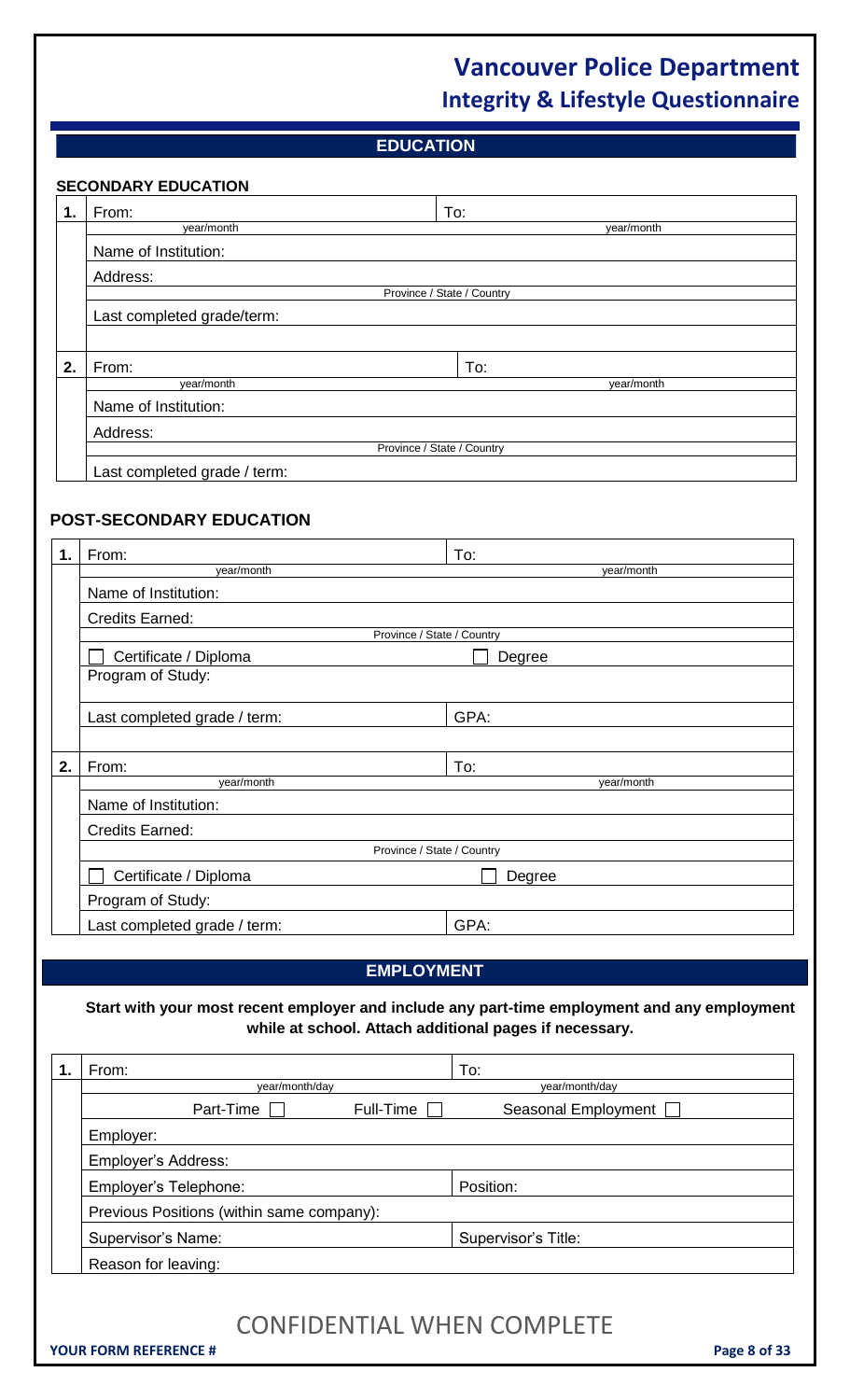| <b>EDUCATION</b> |  |  |
|------------------|--|--|
|                  |  |  |
|                  |  |  |

| 1. | From:                                      | To:                                                                                                                                                    |
|----|--------------------------------------------|--------------------------------------------------------------------------------------------------------------------------------------------------------|
|    | year/month<br>Name of Institution:         | year/month                                                                                                                                             |
|    | Address:                                   |                                                                                                                                                        |
|    |                                            | Province / State / Country                                                                                                                             |
|    | Last completed grade/term:                 |                                                                                                                                                        |
| 2. | From:                                      | To:                                                                                                                                                    |
|    | year/month                                 | year/month                                                                                                                                             |
|    | Name of Institution:<br>Address:           |                                                                                                                                                        |
|    |                                            | Province / State / Country                                                                                                                             |
|    | Last completed grade / term:               |                                                                                                                                                        |
|    | <b>POST-SECONDARY EDUCATION</b>            |                                                                                                                                                        |
|    | From:                                      | To:                                                                                                                                                    |
|    | year/month<br>Name of Institution:         | year/month                                                                                                                                             |
|    | <b>Credits Earned:</b>                     |                                                                                                                                                        |
|    |                                            | Province / State / Country                                                                                                                             |
|    | Certificate / Diploma<br>Program of Study: | Degree                                                                                                                                                 |
|    |                                            |                                                                                                                                                        |
|    | Last completed grade / term:               | GPA:                                                                                                                                                   |
|    | From:                                      | To:                                                                                                                                                    |
|    | year/month<br>Name of Institution:         | year/month                                                                                                                                             |
|    | <b>Credits Earned:</b>                     |                                                                                                                                                        |
|    |                                            | Province / State / Country                                                                                                                             |
|    | Certificate / Diploma                      | Degree                                                                                                                                                 |
|    | Program of Study:                          |                                                                                                                                                        |
|    | Last completed grade / term:               | GPA:                                                                                                                                                   |
|    |                                            | <b>EMPLOYMENT</b>                                                                                                                                      |
|    |                                            | Start with your most recent employer and include any part-time employment and any employment<br>while at school. Attach additional pages if necessary. |
|    | From:                                      | To:                                                                                                                                                    |
|    | year/month/day<br>Full-Time<br>Part-Time   | year/month/day<br>Seasonal Employment                                                                                                                  |
|    | Employer:                                  |                                                                                                                                                        |
|    | Employer's Address:                        |                                                                                                                                                        |
|    | Employer's Telephone:                      | Position:                                                                                                                                              |
|    | Previous Positions (within same company):  |                                                                                                                                                        |
|    | Supervisor's Name:                         | Supervisor's Title:                                                                                                                                    |
|    | Reason for leaving:                        |                                                                                                                                                        |
|    |                                            |                                                                                                                                                        |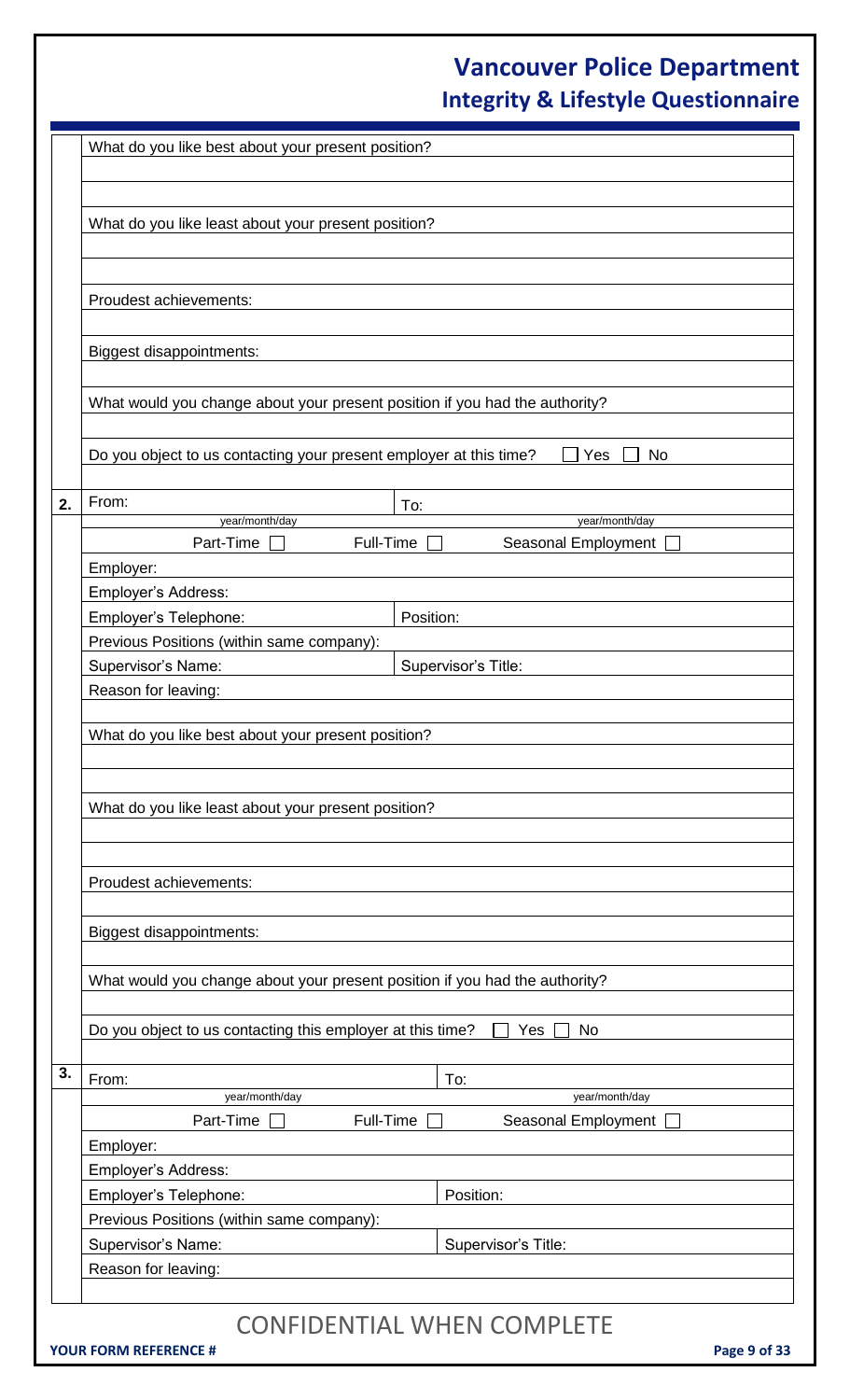|    | What do you like best about your present position?                                     |  |  |  |
|----|----------------------------------------------------------------------------------------|--|--|--|
|    |                                                                                        |  |  |  |
|    |                                                                                        |  |  |  |
|    | What do you like least about your present position?                                    |  |  |  |
|    |                                                                                        |  |  |  |
|    |                                                                                        |  |  |  |
|    | Proudest achievements:                                                                 |  |  |  |
|    |                                                                                        |  |  |  |
|    | <b>Biggest disappointments:</b>                                                        |  |  |  |
|    |                                                                                        |  |  |  |
|    | What would you change about your present position if you had the authority?            |  |  |  |
|    |                                                                                        |  |  |  |
|    | Do you object to us contacting your present employer at this time?<br>Yes<br><b>No</b> |  |  |  |
|    |                                                                                        |  |  |  |
| 2. | From:<br>To:                                                                           |  |  |  |
|    | year/month/day<br>year/month/day                                                       |  |  |  |
|    | Part-Time<br>Full-Time<br>Seasonal Employment                                          |  |  |  |
|    | Employer:                                                                              |  |  |  |
|    | Employer's Address:                                                                    |  |  |  |
|    | Employer's Telephone:<br>Position:                                                     |  |  |  |
|    | Previous Positions (within same company):                                              |  |  |  |
|    | Supervisor's Name:<br>Supervisor's Title:                                              |  |  |  |
|    | Reason for leaving:                                                                    |  |  |  |
|    |                                                                                        |  |  |  |
|    | What do you like best about your present position?                                     |  |  |  |
|    |                                                                                        |  |  |  |
|    |                                                                                        |  |  |  |
|    | What do you like least about your present position?                                    |  |  |  |
|    |                                                                                        |  |  |  |
|    |                                                                                        |  |  |  |
|    | Proudest achievements:                                                                 |  |  |  |
|    |                                                                                        |  |  |  |
|    | <b>Biggest disappointments:</b>                                                        |  |  |  |
|    |                                                                                        |  |  |  |
|    | What would you change about your present position if you had the authority?            |  |  |  |
|    |                                                                                        |  |  |  |
|    | Do you object to us contacting this employer at this time?<br><b>No</b><br>Yes         |  |  |  |
|    |                                                                                        |  |  |  |
| 3. | From:<br>To:                                                                           |  |  |  |
|    | year/month/day<br>year/month/day                                                       |  |  |  |
|    | Part-Time<br>Full-Time<br>Seasonal Employment                                          |  |  |  |
|    | Employer:                                                                              |  |  |  |
|    | Employer's Address:                                                                    |  |  |  |
|    | Position:<br>Employer's Telephone:                                                     |  |  |  |
|    | Previous Positions (within same company):                                              |  |  |  |
|    | Supervisor's Title:<br>Supervisor's Name:                                              |  |  |  |
|    | Reason for leaving:                                                                    |  |  |  |
|    |                                                                                        |  |  |  |
|    | <b>CONFIDENTIAL WHEN COMPLETE</b>                                                      |  |  |  |
|    | Page 9 of 33<br><b>YOUR FORM REFERENCE #</b>                                           |  |  |  |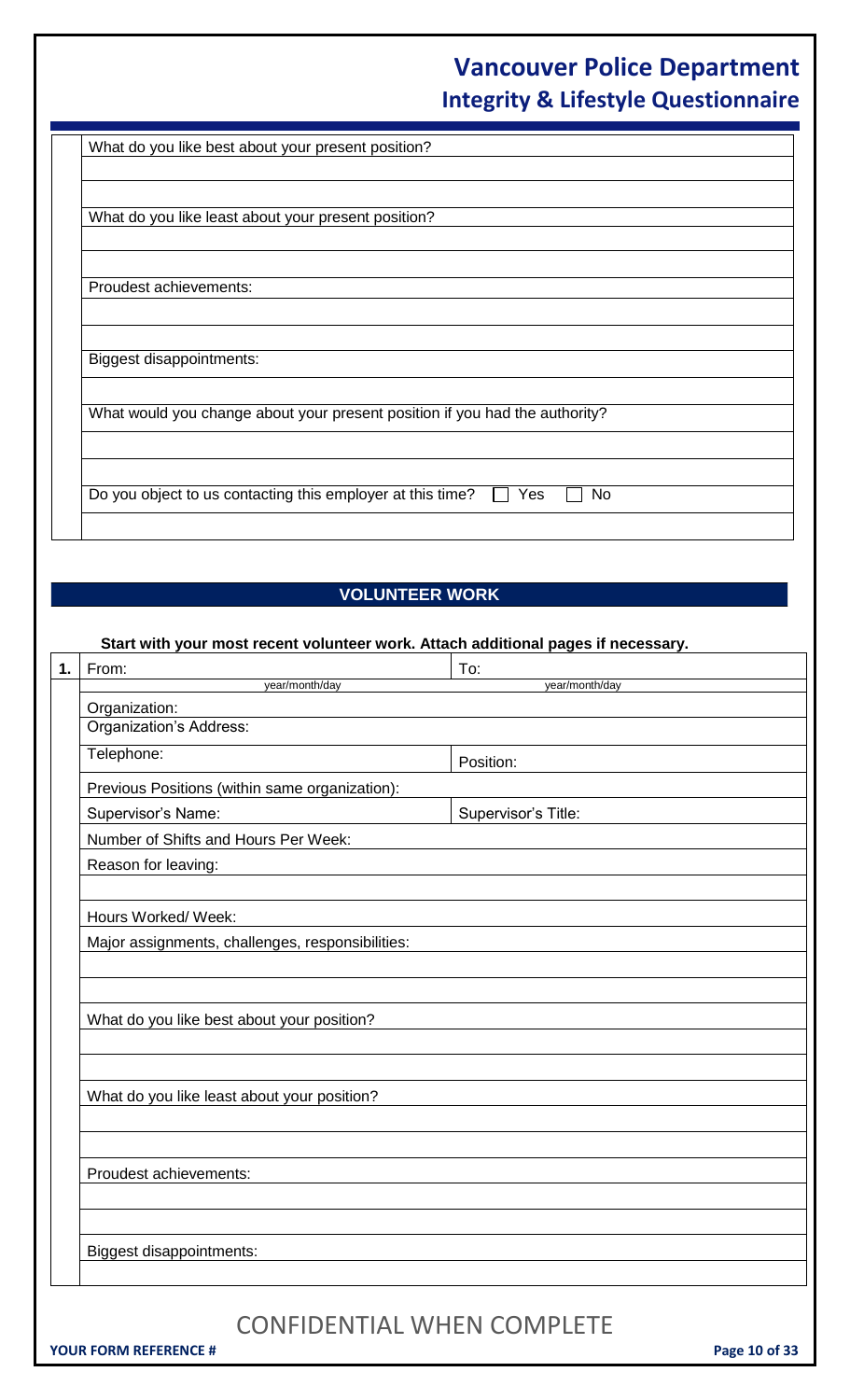What do you like best about your present position?

What do you like least about your present position?

Proudest achievements:

Biggest disappointments:

What would you change about your present position if you had the authority?

Do you object to us contacting this employer at this time?  $\Box$  Yes  $\Box$  No

#### **VOLUNTEER WORK**

**Start with your most recent volunteer work. Attach additional pages if necessary.**

| $\mathbf 1$ . | From:                                            | To:                 |  |  |  |
|---------------|--------------------------------------------------|---------------------|--|--|--|
|               | year/month/day                                   | year/month/day      |  |  |  |
|               | Organization:                                    |                     |  |  |  |
|               | Organization's Address:                          |                     |  |  |  |
|               | Telephone:                                       | Position:           |  |  |  |
|               | Previous Positions (within same organization):   |                     |  |  |  |
|               | Supervisor's Name:                               | Supervisor's Title: |  |  |  |
|               | Number of Shifts and Hours Per Week:             |                     |  |  |  |
|               | Reason for leaving:                              |                     |  |  |  |
|               |                                                  |                     |  |  |  |
|               | Hours Worked/ Week:                              |                     |  |  |  |
|               | Major assignments, challenges, responsibilities: |                     |  |  |  |
|               |                                                  |                     |  |  |  |
|               |                                                  |                     |  |  |  |
|               | What do you like best about your position?       |                     |  |  |  |
|               |                                                  |                     |  |  |  |
|               |                                                  |                     |  |  |  |
|               | What do you like least about your position?      |                     |  |  |  |
|               |                                                  |                     |  |  |  |
|               |                                                  |                     |  |  |  |
|               | Proudest achievements:                           |                     |  |  |  |
|               |                                                  |                     |  |  |  |
|               |                                                  |                     |  |  |  |
|               | <b>Biggest disappointments:</b>                  |                     |  |  |  |
|               |                                                  |                     |  |  |  |
|               |                                                  |                     |  |  |  |
|               | <b>CONFIDENTIAL WHEN COMPLETE</b>                |                     |  |  |  |
|               | Page 10 of 33<br><b>YOUR FORM REFERENCE #</b>    |                     |  |  |  |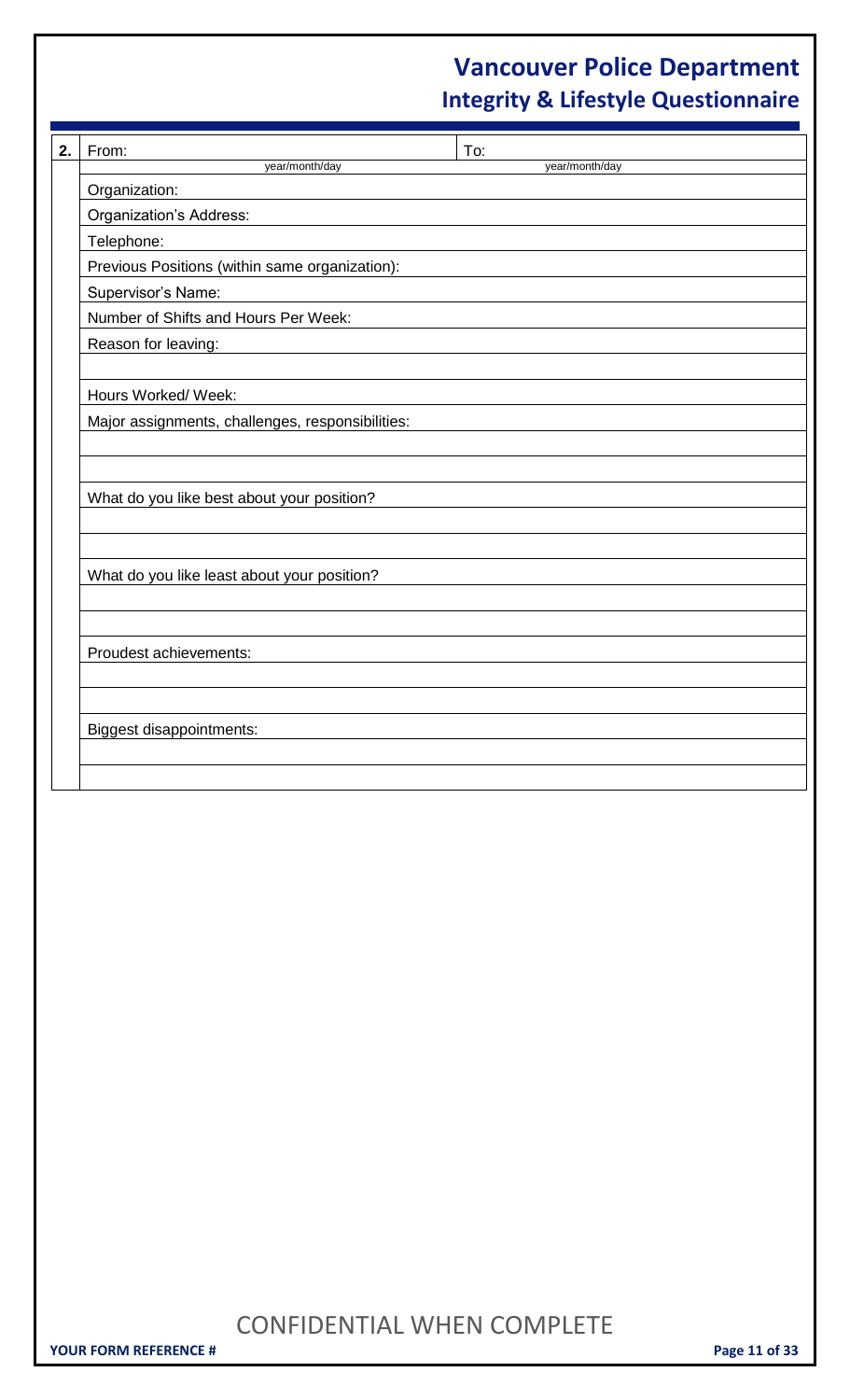| 2. | To:<br>From:                                     |
|----|--------------------------------------------------|
|    | year/month/day<br>year/month/day                 |
|    | Organization:                                    |
|    | <b>Organization's Address:</b>                   |
|    | Telephone:                                       |
|    | Previous Positions (within same organization):   |
|    | Supervisor's Name:                               |
|    | Number of Shifts and Hours Per Week:             |
|    | Reason for leaving:                              |
|    |                                                  |
|    | Hours Worked/Week:                               |
|    | Major assignments, challenges, responsibilities: |
|    |                                                  |
|    |                                                  |
|    | What do you like best about your position?       |
|    |                                                  |
|    |                                                  |
|    | What do you like least about your position?      |
|    |                                                  |
|    |                                                  |
|    | Proudest achievements:                           |
|    |                                                  |
|    |                                                  |
|    | Biggest disappointments:                         |
|    |                                                  |
|    |                                                  |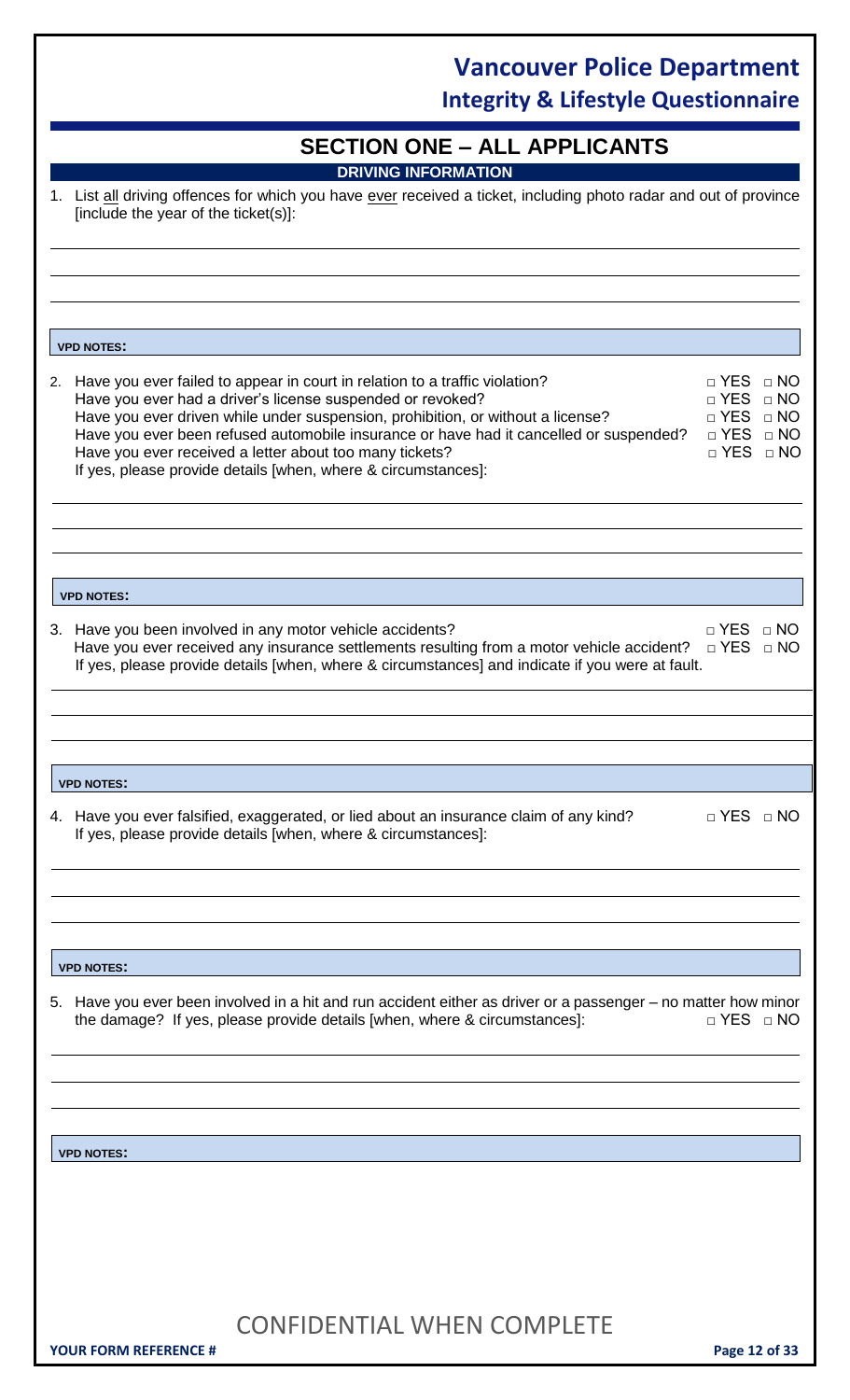| <b>SECTION ONE - ALL APPLICANTS</b>                                                                                                                                                                                                                                                                                                                                                                                                                   |                                                                                          |             |
|-------------------------------------------------------------------------------------------------------------------------------------------------------------------------------------------------------------------------------------------------------------------------------------------------------------------------------------------------------------------------------------------------------------------------------------------------------|------------------------------------------------------------------------------------------|-------------|
| <b>DRIVING INFORMATION</b>                                                                                                                                                                                                                                                                                                                                                                                                                            |                                                                                          |             |
| 1. List all driving offences for which you have ever received a ticket, including photo radar and out of province<br>[include the year of the ticket(s)]:                                                                                                                                                                                                                                                                                             |                                                                                          |             |
|                                                                                                                                                                                                                                                                                                                                                                                                                                                       |                                                                                          |             |
|                                                                                                                                                                                                                                                                                                                                                                                                                                                       |                                                                                          |             |
| <b>VPD NOTES:</b>                                                                                                                                                                                                                                                                                                                                                                                                                                     |                                                                                          |             |
| 2. Have you ever failed to appear in court in relation to a traffic violation?<br>Have you ever had a driver's license suspended or revoked?<br>Have you ever driven while under suspension, prohibition, or without a license?<br>Have you ever been refused automobile insurance or have had it cancelled or suspended?<br>Have you ever received a letter about too many tickets?<br>If yes, please provide details [when, where & circumstances]: | □ YES □ NO<br>$\sqcap$ YES<br>$\Box$ YES $\Box$ NO<br>$\Box$ YES $\Box$ NO<br>□ YES □ NO | $\Box$ NO   |
|                                                                                                                                                                                                                                                                                                                                                                                                                                                       |                                                                                          |             |
|                                                                                                                                                                                                                                                                                                                                                                                                                                                       |                                                                                          |             |
| <b>VPD NOTES:</b>                                                                                                                                                                                                                                                                                                                                                                                                                                     |                                                                                          |             |
| 3. Have you been involved in any motor vehicle accidents?<br>Have you ever received any insurance settlements resulting from a motor vehicle accident?<br>If yes, please provide details [when, where & circumstances] and indicate if you were at fault.                                                                                                                                                                                             | $\Box$ YES<br>$\Box$ YES $\Box$ NO                                                       | $\sqcap$ NO |
|                                                                                                                                                                                                                                                                                                                                                                                                                                                       |                                                                                          |             |
|                                                                                                                                                                                                                                                                                                                                                                                                                                                       |                                                                                          |             |
| <b>VPD NOTES:</b>                                                                                                                                                                                                                                                                                                                                                                                                                                     |                                                                                          |             |
| 4. Have you ever falsified, exaggerated, or lied about an insurance claim of any kind?<br>If yes, please provide details [when, where & circumstances]:                                                                                                                                                                                                                                                                                               | $\Box$ YES $\Box$ NO                                                                     |             |
|                                                                                                                                                                                                                                                                                                                                                                                                                                                       |                                                                                          |             |
|                                                                                                                                                                                                                                                                                                                                                                                                                                                       |                                                                                          |             |
| <b>VPD NOTES:</b>                                                                                                                                                                                                                                                                                                                                                                                                                                     |                                                                                          |             |
| 5. Have you ever been involved in a hit and run accident either as driver or a passenger – no matter how minor<br>the damage? If yes, please provide details [when, where & circumstances]:                                                                                                                                                                                                                                                           | $\Box$ YES $\Box$ NO                                                                     |             |
|                                                                                                                                                                                                                                                                                                                                                                                                                                                       |                                                                                          |             |
|                                                                                                                                                                                                                                                                                                                                                                                                                                                       |                                                                                          |             |
| <b>VPD NOTES:</b>                                                                                                                                                                                                                                                                                                                                                                                                                                     |                                                                                          |             |
|                                                                                                                                                                                                                                                                                                                                                                                                                                                       |                                                                                          |             |
|                                                                                                                                                                                                                                                                                                                                                                                                                                                       |                                                                                          |             |
|                                                                                                                                                                                                                                                                                                                                                                                                                                                       |                                                                                          |             |
|                                                                                                                                                                                                                                                                                                                                                                                                                                                       |                                                                                          |             |
| <b>CONFIDENTIAL WHEN COMPLETE</b>                                                                                                                                                                                                                                                                                                                                                                                                                     |                                                                                          |             |
| <b>YOUR FORM REFERENCE #</b>                                                                                                                                                                                                                                                                                                                                                                                                                          | Page 12 of 33                                                                            |             |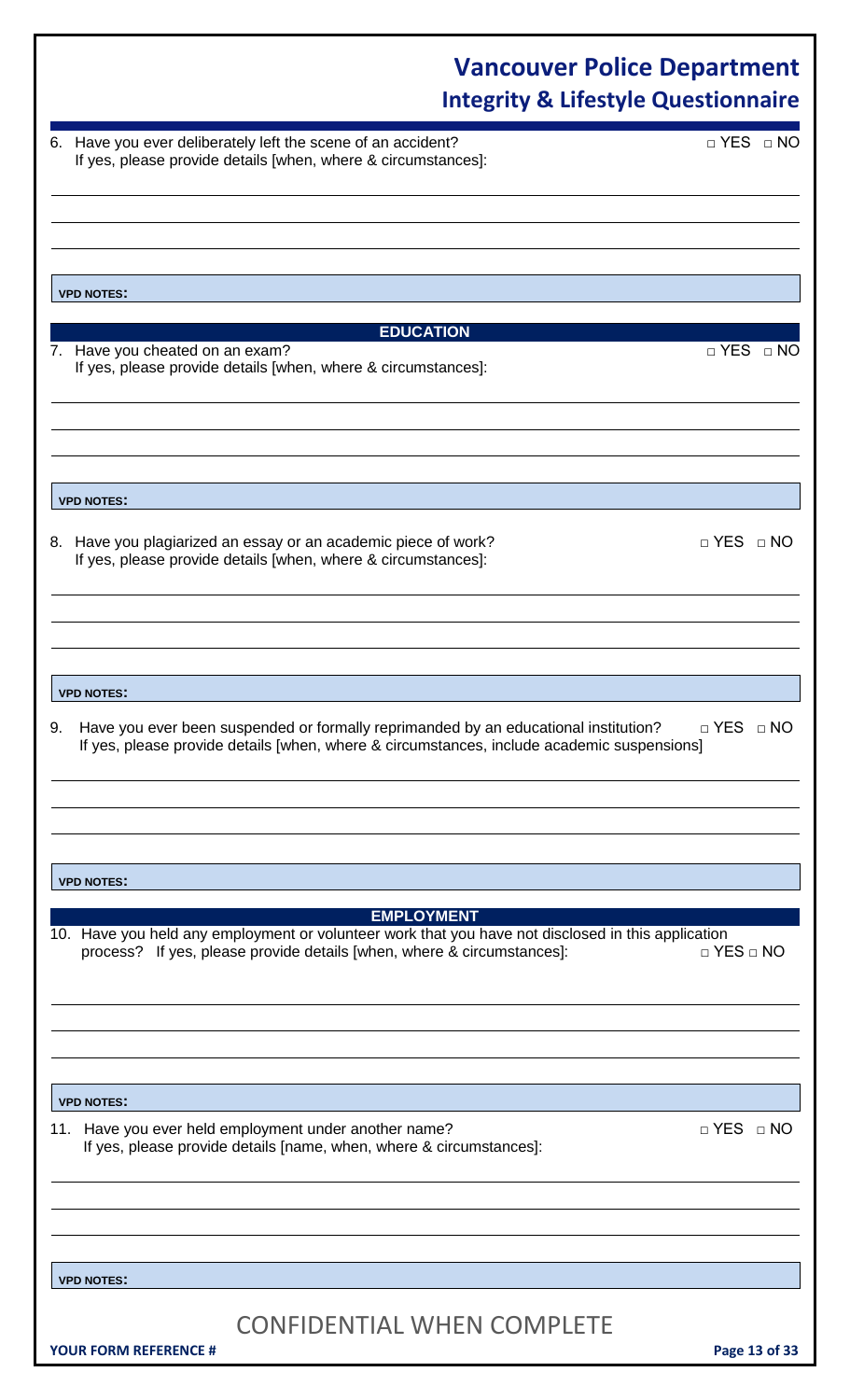|    | $m_{\rm s}$ and $\alpha$ and $m_{\rm s}$ and $m_{\rm s}$                                                                                                                                          |                      |               |
|----|---------------------------------------------------------------------------------------------------------------------------------------------------------------------------------------------------|----------------------|---------------|
| 6. | Have you ever deliberately left the scene of an accident?<br>If yes, please provide details [when, where & circumstances]:                                                                        |                      | □ YES □ NO    |
|    |                                                                                                                                                                                                   |                      |               |
|    |                                                                                                                                                                                                   |                      |               |
|    | <b>VPD NOTES:</b>                                                                                                                                                                                 |                      |               |
|    | <b>EDUCATION</b>                                                                                                                                                                                  |                      |               |
|    | 7. Have you cheated on an exam?<br>If yes, please provide details [when, where & circumstances]:                                                                                                  |                      | □ YES □ NO    |
|    |                                                                                                                                                                                                   |                      |               |
|    | <b>VPD NOTES:</b>                                                                                                                                                                                 |                      |               |
|    | 8. Have you plagiarized an essay or an academic piece of work?<br>If yes, please provide details [when, where & circumstances]:                                                                   | DYES DNO             |               |
|    |                                                                                                                                                                                                   |                      |               |
|    |                                                                                                                                                                                                   |                      |               |
|    | <b>VPD NOTES:</b>                                                                                                                                                                                 |                      |               |
|    | 9. Have you ever been suspended or formally reprimanded by an educational institution?<br>If yes, please provide details [when, where & circumstances, include academic suspensions]              | D YES D NO           |               |
|    |                                                                                                                                                                                                   |                      |               |
|    | <b>VPD NOTES:</b>                                                                                                                                                                                 |                      |               |
|    |                                                                                                                                                                                                   |                      |               |
|    | <b>EMPLOYMENT</b><br>10. Have you held any employment or volunteer work that you have not disclosed in this application<br>process? If yes, please provide details [when, where & circumstances]: | $\Box$ YES $\Box$ NO |               |
|    |                                                                                                                                                                                                   |                      |               |
|    | <b>VPD NOTES:</b>                                                                                                                                                                                 |                      |               |
|    | 11. Have you ever held employment under another name?<br>If yes, please provide details [name, when, where & circumstances]:                                                                      | DYES DNO             |               |
|    |                                                                                                                                                                                                   |                      |               |
|    | <b>VPD NOTES:</b>                                                                                                                                                                                 |                      |               |
|    | <b>CONFIDENTIAL WHEN COMPLETE</b><br>YOUR FORM REFERENCE #                                                                                                                                        |                      | Page 13 of 33 |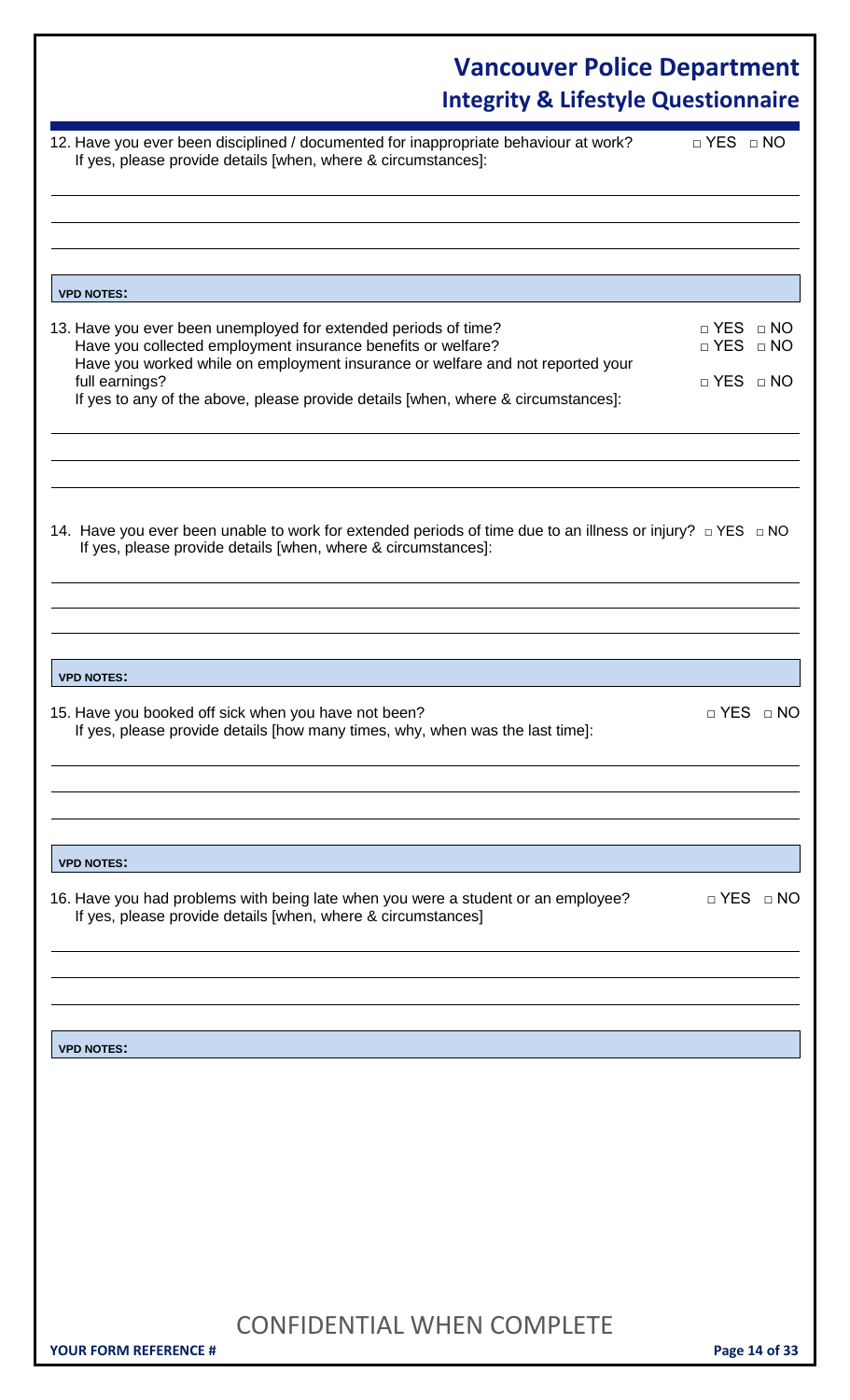| <b>Vancouver Police Department</b><br><b>Integrity &amp; Lifestyle Questionnaire</b>                                                                                                                                                                                                                                     |                                          |            |
|--------------------------------------------------------------------------------------------------------------------------------------------------------------------------------------------------------------------------------------------------------------------------------------------------------------------------|------------------------------------------|------------|
| 12. Have you ever been disciplined / documented for inappropriate behaviour at work?<br>If yes, please provide details [when, where & circumstances]:                                                                                                                                                                    | $\Box$ YES $\Box$ NO                     |            |
|                                                                                                                                                                                                                                                                                                                          |                                          |            |
| <b>VPD NOTES:</b>                                                                                                                                                                                                                                                                                                        |                                          |            |
| 13. Have you ever been unemployed for extended periods of time?<br>Have you collected employment insurance benefits or welfare?<br>Have you worked while on employment insurance or welfare and not reported your<br>full earnings?<br>If yes to any of the above, please provide details [when, where & circumstances]: | $\sqcap$ YES<br>□ YES □ NO<br>□ YES □ NO | $\Box$ NO  |
| 14. Have you ever been unable to work for extended periods of time due to an illness or injury? $\Box$ YES $\Box$ NO<br>If yes, please provide details [when, where & circumstances]:                                                                                                                                    |                                          |            |
|                                                                                                                                                                                                                                                                                                                          |                                          |            |
| <b>VPD NOTES:</b><br>15. Have you booked off sick when you have not been?<br>If yes, please provide details [how many times, why, when was the last time]:                                                                                                                                                               |                                          | □ YES □ NO |
|                                                                                                                                                                                                                                                                                                                          |                                          |            |
| <b>VPD NOTES:</b><br>16. Have you had problems with being late when you were a student or an employee?<br>If yes, please provide details [when, where & circumstances]                                                                                                                                                   |                                          | DYES DNO   |
|                                                                                                                                                                                                                                                                                                                          |                                          |            |
| <b>VPD NOTES:</b>                                                                                                                                                                                                                                                                                                        |                                          |            |
|                                                                                                                                                                                                                                                                                                                          |                                          |            |
|                                                                                                                                                                                                                                                                                                                          |                                          |            |
|                                                                                                                                                                                                                                                                                                                          |                                          |            |
| <b>CONFIDENTIAL WHEN COMPLETE</b>                                                                                                                                                                                                                                                                                        |                                          |            |

**YOUR FORM REFERENCE #** Page 14 of 33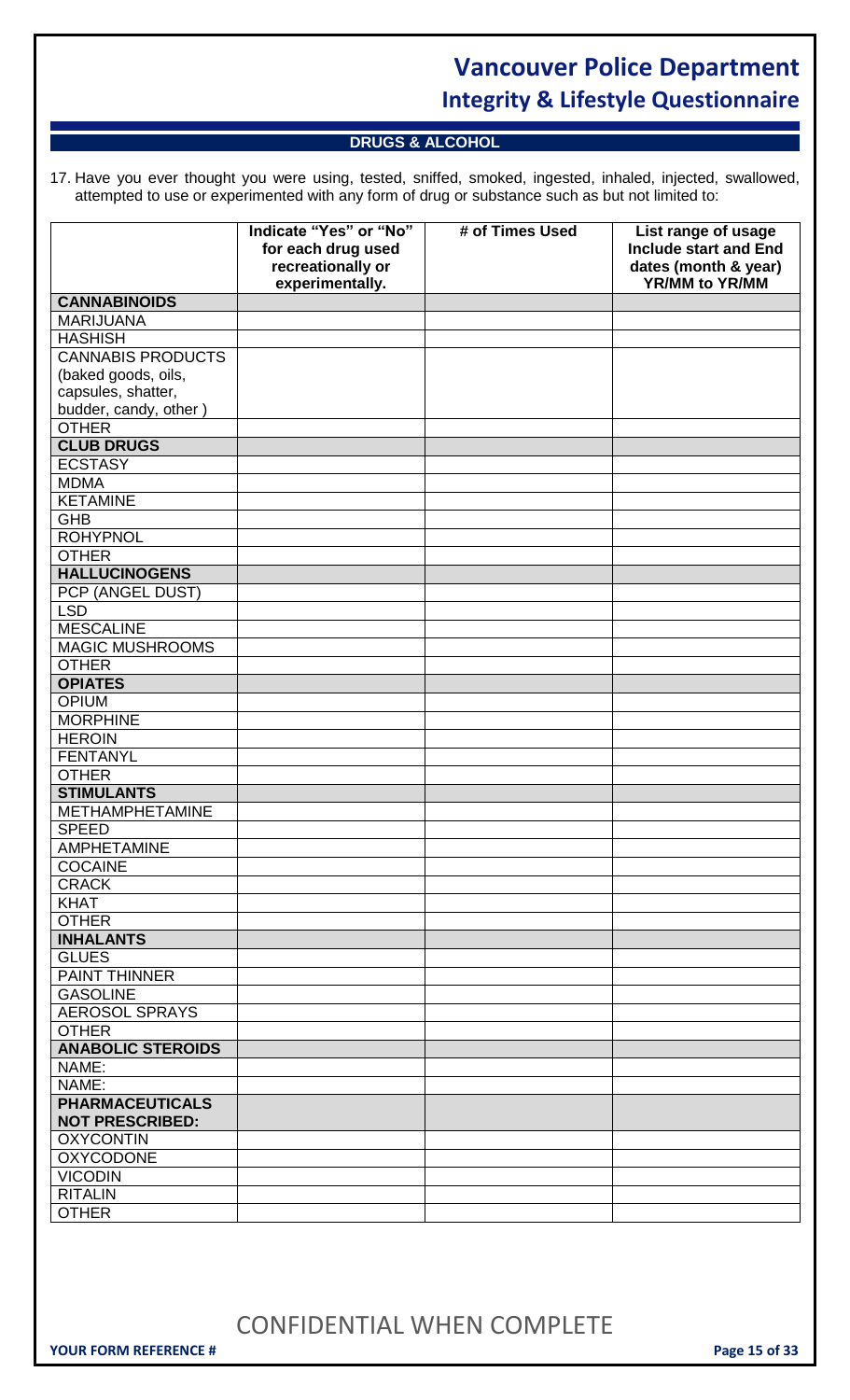#### **DRUGS & ALCOHOL**

17. Have you ever thought you were using, tested, sniffed, smoked, ingested, inhaled, injected, swallowed, attempted to use or experimented with any form of drug or substance such as but not limited to:

|                               | Indicate "Yes" or "No"               | # of Times Used | List range of usage                           |
|-------------------------------|--------------------------------------|-----------------|-----------------------------------------------|
|                               |                                      |                 | <b>Include start and End</b>                  |
|                               | for each drug used                   |                 |                                               |
|                               | recreationally or<br>experimentally. |                 | dates (month & year)<br><b>YR/MM to YR/MM</b> |
| <b>CANNABINOIDS</b>           |                                      |                 |                                               |
| <b>MARIJUANA</b>              |                                      |                 |                                               |
| <b>HASHISH</b>                |                                      |                 |                                               |
| <b>CANNABIS PRODUCTS</b>      |                                      |                 |                                               |
| (baked goods, oils,           |                                      |                 |                                               |
| capsules, shatter,            |                                      |                 |                                               |
| budder, candy, other)         |                                      |                 |                                               |
| <b>OTHER</b>                  |                                      |                 |                                               |
| <b>CLUB DRUGS</b>             |                                      |                 |                                               |
|                               |                                      |                 |                                               |
| <b>ECSTASY</b><br><b>MDMA</b> |                                      |                 |                                               |
|                               |                                      |                 |                                               |
| <b>KETAMINE</b>               |                                      |                 |                                               |
| <b>GHB</b>                    |                                      |                 |                                               |
| <b>ROHYPNOL</b>               |                                      |                 |                                               |
| <b>OTHER</b>                  |                                      |                 |                                               |
| <b>HALLUCINOGENS</b>          |                                      |                 |                                               |
| PCP (ANGEL DUST)              |                                      |                 |                                               |
| <b>LSD</b>                    |                                      |                 |                                               |
| <b>MESCALINE</b>              |                                      |                 |                                               |
| <b>MAGIC MUSHROOMS</b>        |                                      |                 |                                               |
| <b>OTHER</b>                  |                                      |                 |                                               |
| <b>OPIATES</b>                |                                      |                 |                                               |
| <b>OPIUM</b>                  |                                      |                 |                                               |
| <b>MORPHINE</b>               |                                      |                 |                                               |
| <b>HEROIN</b>                 |                                      |                 |                                               |
| <b>FENTANYL</b>               |                                      |                 |                                               |
| <b>OTHER</b>                  |                                      |                 |                                               |
| <b>STIMULANTS</b>             |                                      |                 |                                               |
| <b>METHAMPHETAMINE</b>        |                                      |                 |                                               |
| <b>SPEED</b>                  |                                      |                 |                                               |
| <b>AMPHETAMINE</b>            |                                      |                 |                                               |
| <b>COCAINE</b>                |                                      |                 |                                               |
| <b>CRACK</b>                  |                                      |                 |                                               |
| <b>KHAT</b>                   |                                      |                 |                                               |
| <b>OTHER</b>                  |                                      |                 |                                               |
| <b>INHALANTS</b>              |                                      |                 |                                               |
| <b>GLUES</b>                  |                                      |                 |                                               |
| <b>PAINT THINNER</b>          |                                      |                 |                                               |
| <b>GASOLINE</b>               |                                      |                 |                                               |
| <b>AEROSOL SPRAYS</b>         |                                      |                 |                                               |
| <b>OTHER</b>                  |                                      |                 |                                               |
| <b>ANABOLIC STEROIDS</b>      |                                      |                 |                                               |
| NAME:                         |                                      |                 |                                               |
| NAME:                         |                                      |                 |                                               |
| <b>PHARMACEUTICALS</b>        |                                      |                 |                                               |
| <b>NOT PRESCRIBED:</b>        |                                      |                 |                                               |
| <b>OXYCONTIN</b>              |                                      |                 |                                               |
| <b>OXYCODONE</b>              |                                      |                 |                                               |
| <b>VICODIN</b>                |                                      |                 |                                               |
| <b>RITALIN</b>                |                                      |                 |                                               |
| <b>OTHER</b>                  |                                      |                 |                                               |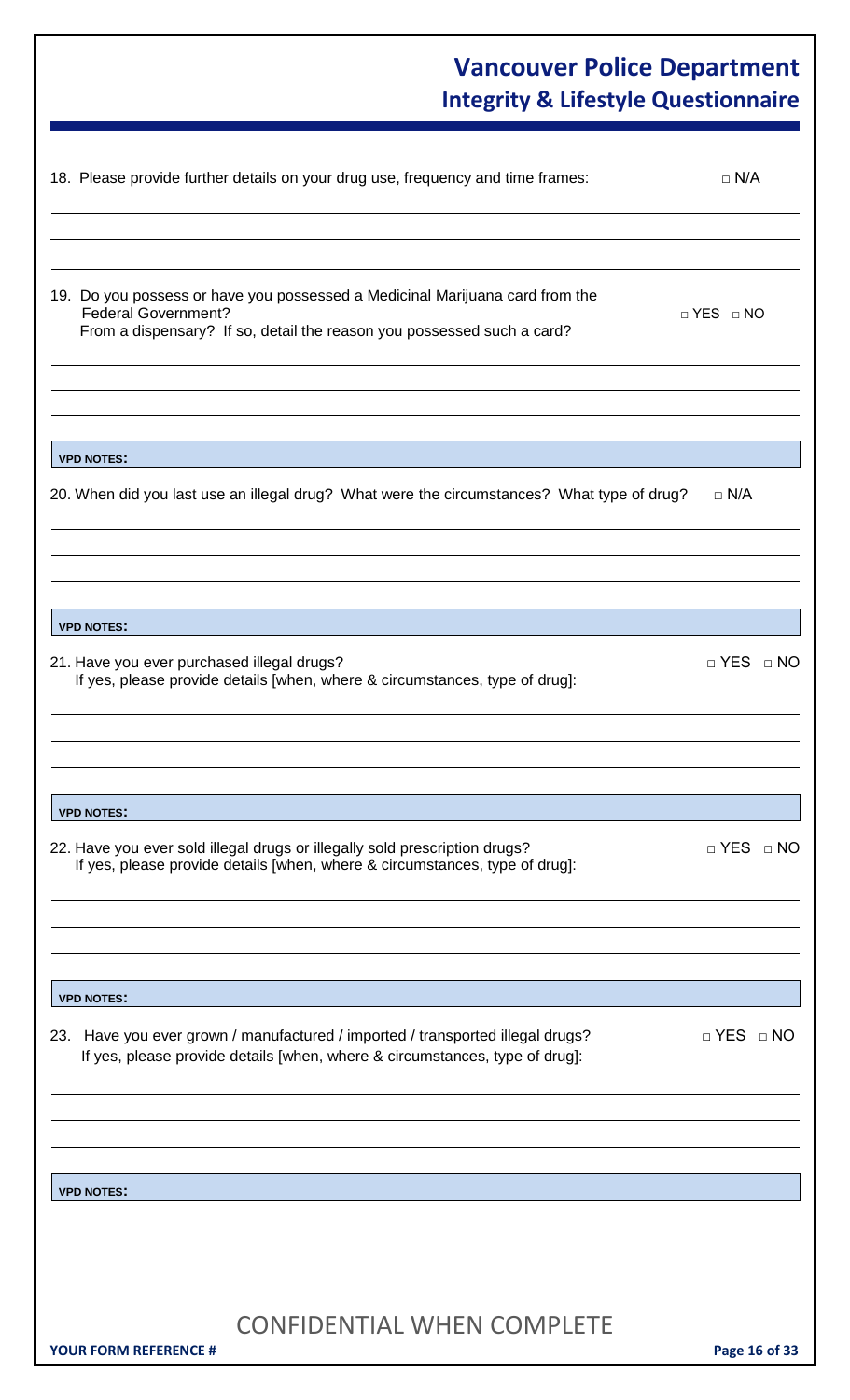|                                            | 18. Please provide further details on your drug use, frequency and time frames:                                                                               | $\Box$ N/A    |  |
|--------------------------------------------|---------------------------------------------------------------------------------------------------------------------------------------------------------------|---------------|--|
| <b>Federal Government?</b>                 | 19. Do you possess or have you possessed a Medicinal Marijuana card from the<br>From a dispensary? If so, detail the reason you possessed such a card?        | □ YES □ NO    |  |
| <b>VPD NOTES:</b>                          | 20. When did you last use an illegal drug? What were the circumstances? What type of drug?                                                                    | $\Box$ N/A    |  |
| <b>VPD NOTES:</b>                          |                                                                                                                                                               |               |  |
| 21. Have you ever purchased illegal drugs? | If yes, please provide details [when, where & circumstances, type of drug]:                                                                                   | □ YES □ NO    |  |
| <b>VPD NOTES:</b>                          |                                                                                                                                                               |               |  |
|                                            | 22. Have you ever sold illegal drugs or illegally sold prescription drugs?<br>If yes, please provide details [when, where & circumstances, type of drug]:     | □ YES □ NO    |  |
| <b>VPD NOTES:</b>                          |                                                                                                                                                               |               |  |
|                                            | 23. Have you ever grown / manufactured / imported / transported illegal drugs?<br>If yes, please provide details [when, where & circumstances, type of drug]: | □ YES □ NO    |  |
| <b>VPD NOTES:</b>                          |                                                                                                                                                               |               |  |
| <b>YOUR FORM REFERENCE #</b>               | <b>CONFIDENTIAL WHEN COMPLETE</b>                                                                                                                             | Page 16 of 33 |  |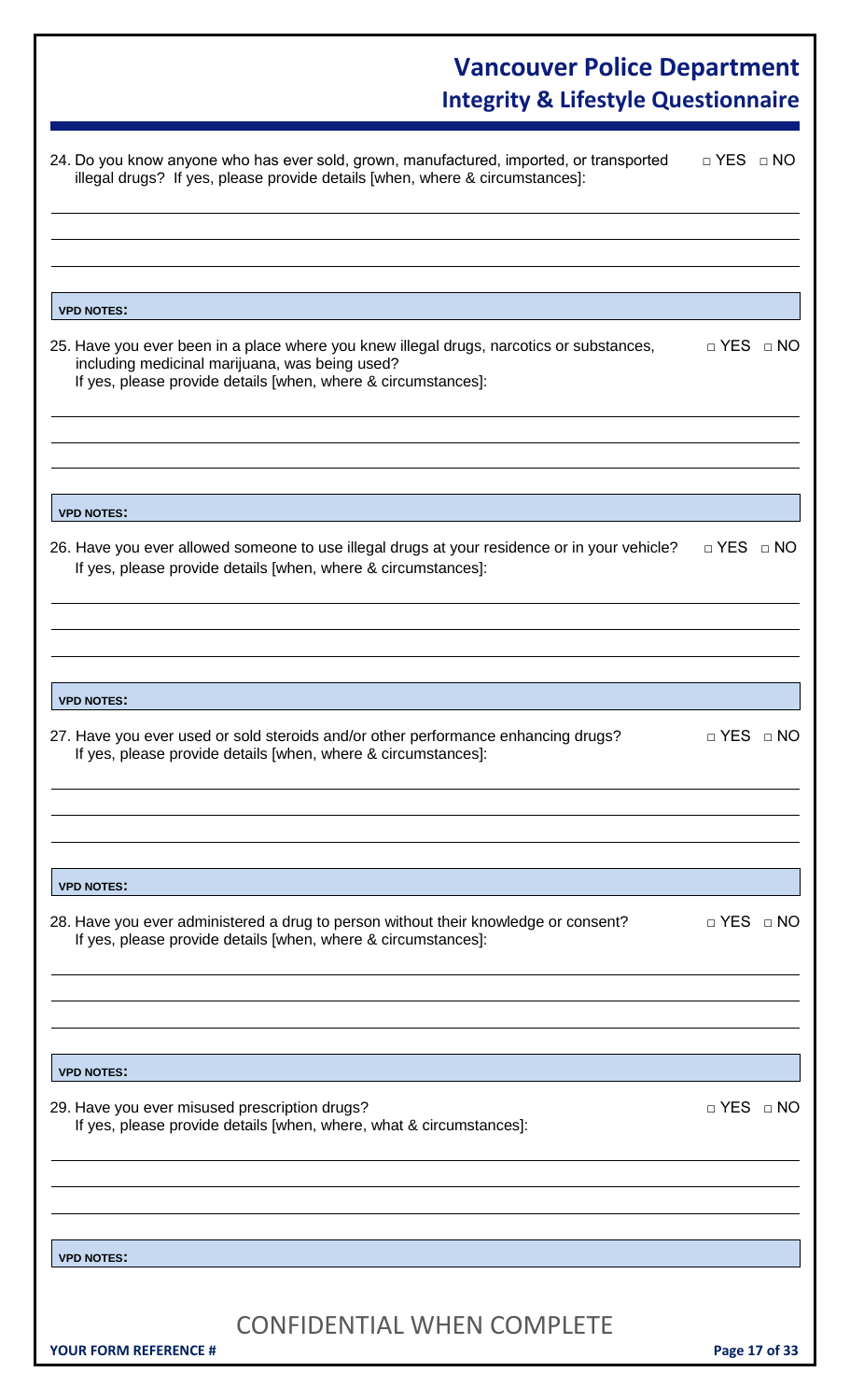| 24. Do you know anyone who has ever sold, grown, manufactured, imported, or transported<br>illegal drugs? If yes, please provide details [when, where & circumstances]:                                     | □ YES □ NO           |  |
|-------------------------------------------------------------------------------------------------------------------------------------------------------------------------------------------------------------|----------------------|--|
|                                                                                                                                                                                                             |                      |  |
| <b>VPD NOTES:</b>                                                                                                                                                                                           |                      |  |
| 25. Have you ever been in a place where you knew illegal drugs, narcotics or substances,<br>including medicinal marijuana, was being used?<br>If yes, please provide details [when, where & circumstances]: | DYES DNO             |  |
|                                                                                                                                                                                                             |                      |  |
| <b>VPD NOTES:</b>                                                                                                                                                                                           |                      |  |
| 26. Have you ever allowed someone to use illegal drugs at your residence or in your vehicle?<br>If yes, please provide details [when, where & circumstances]:                                               | DYES DNO             |  |
|                                                                                                                                                                                                             |                      |  |
| <b>VPD NOTES:</b>                                                                                                                                                                                           |                      |  |
| 27. Have you ever used or sold steroids and/or other performance enhancing drugs?<br>If yes, please provide details [when, where & circumstances]:                                                          | □ YES □ NO           |  |
|                                                                                                                                                                                                             |                      |  |
| <b>VPD NOTES:</b>                                                                                                                                                                                           |                      |  |
| 28. Have you ever administered a drug to person without their knowledge or consent?<br>If yes, please provide details [when, where & circumstances]:                                                        | $\neg$ YES $\neg$ NO |  |
|                                                                                                                                                                                                             |                      |  |
|                                                                                                                                                                                                             |                      |  |
| <b>VPD NOTES:</b>                                                                                                                                                                                           |                      |  |
| 29. Have you ever misused prescription drugs?<br>If yes, please provide details [when, where, what & circumstances]:                                                                                        | $\Box$ YES $\Box$ NO |  |
|                                                                                                                                                                                                             |                      |  |
| <b>VPD NOTES:</b>                                                                                                                                                                                           |                      |  |
|                                                                                                                                                                                                             |                      |  |
| <b>CONFIDENTIAL WHEN COMPLETE</b><br><b>YOUR FORM REFERENCE #</b>                                                                                                                                           | Page 17 of 33        |  |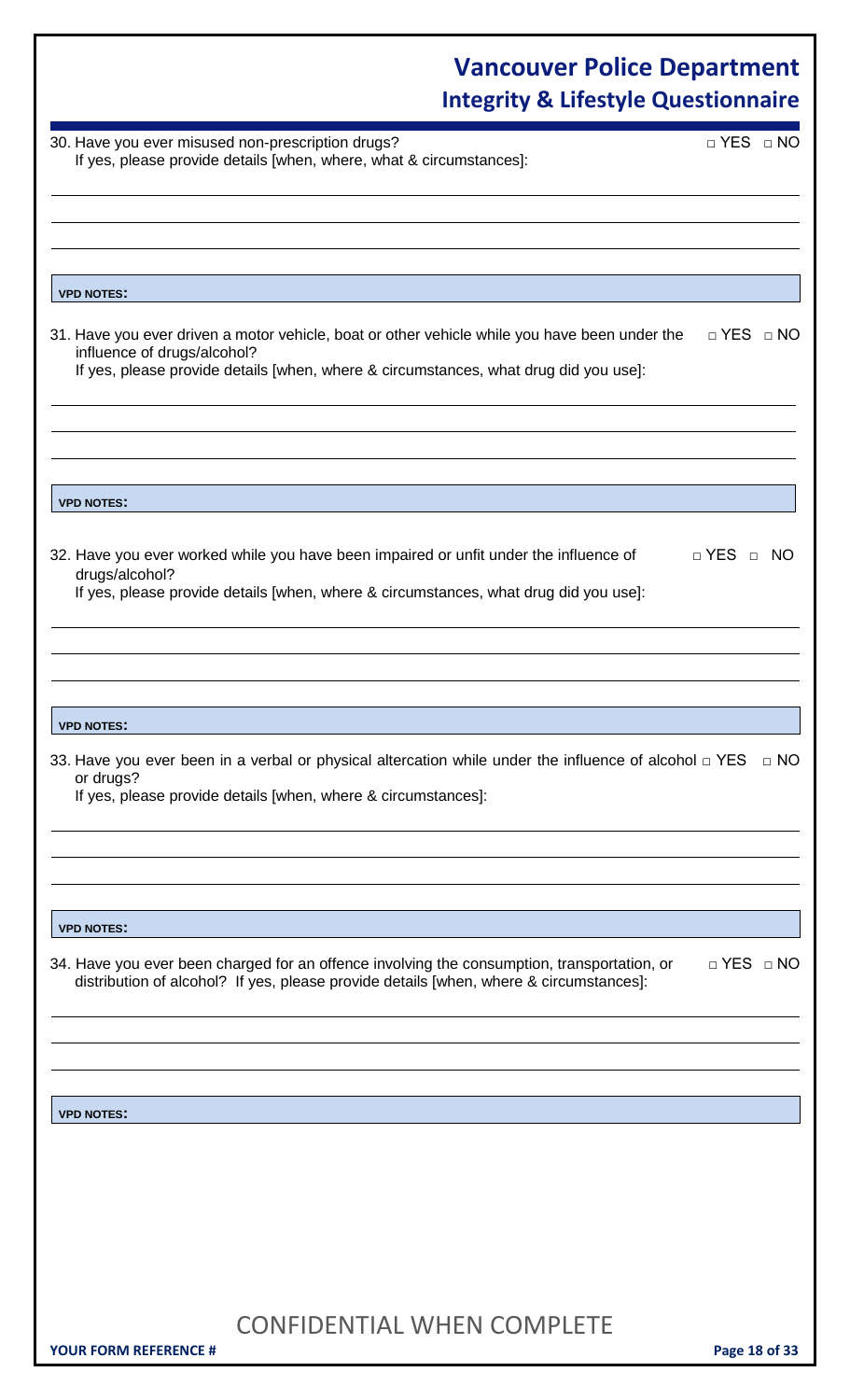| <b>Integrity &amp; Lifestyle Questionnaire</b>                                                                                                                                                                                            |                      |           |
|-------------------------------------------------------------------------------------------------------------------------------------------------------------------------------------------------------------------------------------------|----------------------|-----------|
| 30. Have you ever misused non-prescription drugs?<br>If yes, please provide details [when, where, what & circumstances]:                                                                                                                  | □ YES □ NO           |           |
|                                                                                                                                                                                                                                           |                      |           |
|                                                                                                                                                                                                                                           |                      |           |
| <b>VPD NOTES:</b>                                                                                                                                                                                                                         |                      |           |
| 31. Have you ever driven a motor vehicle, boat or other vehicle while you have been under the $\Box$ YES $\Box$ NO<br>influence of drugs/alcohol?<br>If yes, please provide details [when, where & circumstances, what drug did you use]: |                      |           |
|                                                                                                                                                                                                                                           |                      |           |
| <b>VPD NOTES:</b>                                                                                                                                                                                                                         |                      |           |
| 32. Have you ever worked while you have been impaired or unfit under the influence of<br>drugs/alcohol?<br>If yes, please provide details [when, where & circumstances, what drug did you use]:                                           | DYES D NO            |           |
|                                                                                                                                                                                                                                           |                      |           |
|                                                                                                                                                                                                                                           |                      |           |
| <b>VPD NOTES:</b>                                                                                                                                                                                                                         |                      |           |
| 33. Have you ever been in a verbal or physical altercation while under the influence of alcohol $\Box$ YES<br>or drugs?<br>If yes, please provide details [when, where & circumstances]:                                                  |                      | $\Box$ NO |
|                                                                                                                                                                                                                                           |                      |           |
|                                                                                                                                                                                                                                           |                      |           |
| <b>VPD NOTES:</b>                                                                                                                                                                                                                         |                      |           |
| 34. Have you ever been charged for an offence involving the consumption, transportation, or<br>distribution of alcohol? If yes, please provide details [when, where & circumstances]:                                                     | $\Box$ YES $\Box$ NO |           |
|                                                                                                                                                                                                                                           |                      |           |
|                                                                                                                                                                                                                                           |                      |           |
| <b>VPD NOTES:</b>                                                                                                                                                                                                                         |                      |           |
|                                                                                                                                                                                                                                           |                      |           |
|                                                                                                                                                                                                                                           |                      |           |
|                                                                                                                                                                                                                                           |                      |           |
|                                                                                                                                                                                                                                           |                      |           |
| <b>CONFIDENTIAL WHEN COMPLETE</b>                                                                                                                                                                                                         |                      |           |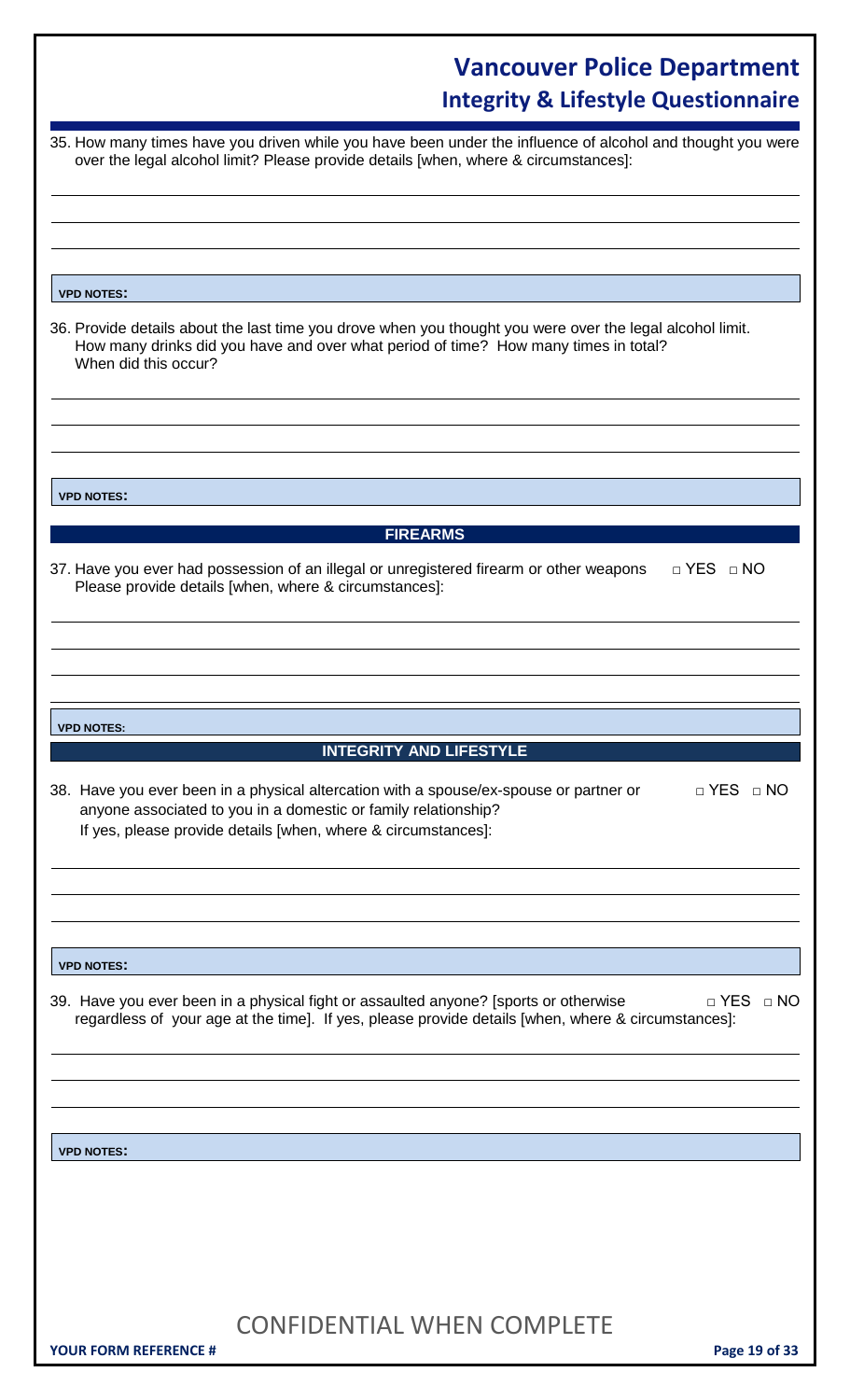|                              | 35. How many times have you driven while you have been under the influence of alcohol and thought you were<br>over the legal alcohol limit? Please provide details [when, where & circumstances]:                                                 |
|------------------------------|---------------------------------------------------------------------------------------------------------------------------------------------------------------------------------------------------------------------------------------------------|
|                              |                                                                                                                                                                                                                                                   |
|                              |                                                                                                                                                                                                                                                   |
|                              |                                                                                                                                                                                                                                                   |
| <b>VPD NOTES:</b>            |                                                                                                                                                                                                                                                   |
| When did this occur?         | 36. Provide details about the last time you drove when you thought you were over the legal alcohol limit.<br>How many drinks did you have and over what period of time? How many times in total?                                                  |
|                              |                                                                                                                                                                                                                                                   |
| <b>VPD NOTES:</b>            |                                                                                                                                                                                                                                                   |
|                              | <b>FIREARMS</b>                                                                                                                                                                                                                                   |
|                              | 37. Have you ever had possession of an illegal or unregistered firearm or other weapons<br>□ YES □ NO<br>Please provide details [when, where & circumstances]:                                                                                    |
|                              |                                                                                                                                                                                                                                                   |
|                              |                                                                                                                                                                                                                                                   |
| <b>VPD NOTES:</b>            |                                                                                                                                                                                                                                                   |
|                              | <b>INTEGRITY AND LIFESTYLE</b>                                                                                                                                                                                                                    |
|                              | 38. Have you ever been in a physical altercation with a spouse/ex-spouse or partner or<br>$\Box$ YES $\Box$ NO<br>anyone associated to you in a domestic or family relationship?<br>If yes, please provide details [when, where & circumstances]: |
|                              |                                                                                                                                                                                                                                                   |
|                              |                                                                                                                                                                                                                                                   |
| <b>VPD NOTES:</b>            |                                                                                                                                                                                                                                                   |
|                              | 39. Have you ever been in a physical fight or assaulted anyone? [sports or otherwise<br>$\Box$ YES $\Box$ NO<br>regardless of your age at the time]. If yes, please provide details [when, where & circumstances]:                                |
|                              |                                                                                                                                                                                                                                                   |
|                              |                                                                                                                                                                                                                                                   |
|                              |                                                                                                                                                                                                                                                   |
| <b>VPD NOTES:</b>            |                                                                                                                                                                                                                                                   |
|                              |                                                                                                                                                                                                                                                   |
|                              |                                                                                                                                                                                                                                                   |
|                              |                                                                                                                                                                                                                                                   |
|                              |                                                                                                                                                                                                                                                   |
| <b>YOUR FORM REFERENCE #</b> | <b>CONFIDENTIAL WHEN COMPLETE</b><br>Page 19 of 33                                                                                                                                                                                                |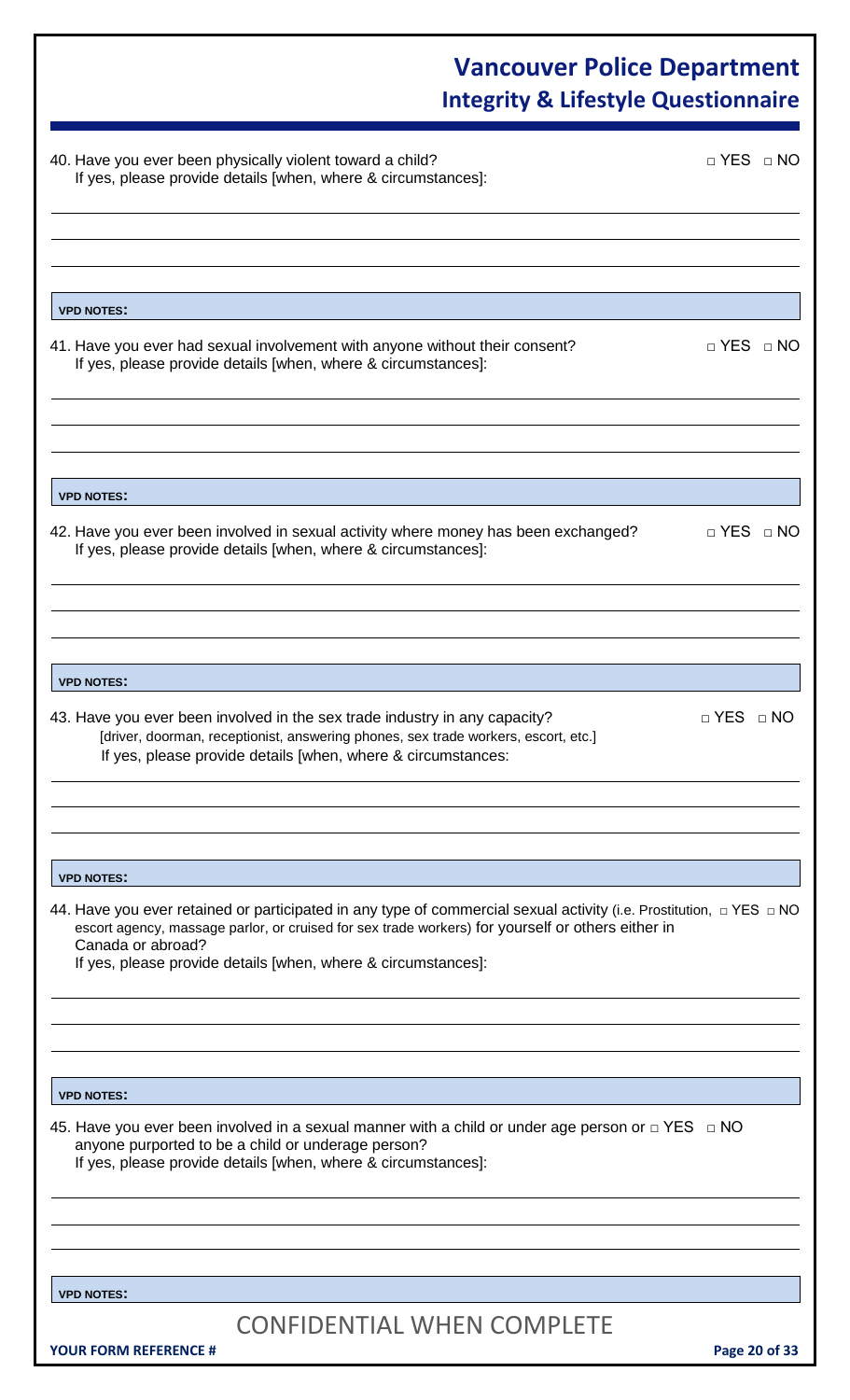| 40. Have you ever been physically violent toward a child?                                                                                                                                                                                                                                                                | DYES DNO      |  |
|--------------------------------------------------------------------------------------------------------------------------------------------------------------------------------------------------------------------------------------------------------------------------------------------------------------------------|---------------|--|
| If yes, please provide details [when, where & circumstances]:                                                                                                                                                                                                                                                            |               |  |
|                                                                                                                                                                                                                                                                                                                          |               |  |
|                                                                                                                                                                                                                                                                                                                          |               |  |
|                                                                                                                                                                                                                                                                                                                          |               |  |
| <b>VPD NOTES:</b>                                                                                                                                                                                                                                                                                                        |               |  |
| 41. Have you ever had sexual involvement with anyone without their consent?<br>If yes, please provide details [when, where & circumstances]:                                                                                                                                                                             | DYES DNO      |  |
|                                                                                                                                                                                                                                                                                                                          |               |  |
| <b>VPD NOTES:</b>                                                                                                                                                                                                                                                                                                        |               |  |
| 42. Have you ever been involved in sexual activity where money has been exchanged?<br>If yes, please provide details [when, where & circumstances]:                                                                                                                                                                      | DYES DNO      |  |
|                                                                                                                                                                                                                                                                                                                          |               |  |
| <b>VPD NOTES:</b>                                                                                                                                                                                                                                                                                                        |               |  |
| 43. Have you ever been involved in the sex trade industry in any capacity?<br>[driver, doorman, receptionist, answering phones, sex trade workers, escort, etc.]<br>If yes, please provide details [when, where & circumstances:                                                                                         | □ YES □ NO    |  |
|                                                                                                                                                                                                                                                                                                                          |               |  |
| <b>VPD NOTES:</b>                                                                                                                                                                                                                                                                                                        |               |  |
| 44. Have you ever retained or participated in any type of commercial sexual activity (i.e. Prostitution, $\Box$ YES $\Box$ NO<br>escort agency, massage parlor, or cruised for sex trade workers) for yourself or others either in<br>Canada or abroad?<br>If yes, please provide details [when, where & circumstances]: |               |  |
|                                                                                                                                                                                                                                                                                                                          |               |  |
| <b>VPD NOTES:</b>                                                                                                                                                                                                                                                                                                        |               |  |
|                                                                                                                                                                                                                                                                                                                          |               |  |
| 45. Have you ever been involved in a sexual manner with a child or under age person or $\Box$ YES $\Box$ NO<br>anyone purported to be a child or underage person?<br>If yes, please provide details [when, where & circumstances]:                                                                                       |               |  |
|                                                                                                                                                                                                                                                                                                                          |               |  |
|                                                                                                                                                                                                                                                                                                                          |               |  |
| <b>VPD NOTES:</b>                                                                                                                                                                                                                                                                                                        |               |  |
| <b>CONFIDENTIAL WHEN COMPLETE</b>                                                                                                                                                                                                                                                                                        |               |  |
| <b>YOUR FORM REFERENCE #</b>                                                                                                                                                                                                                                                                                             | Page 20 of 33 |  |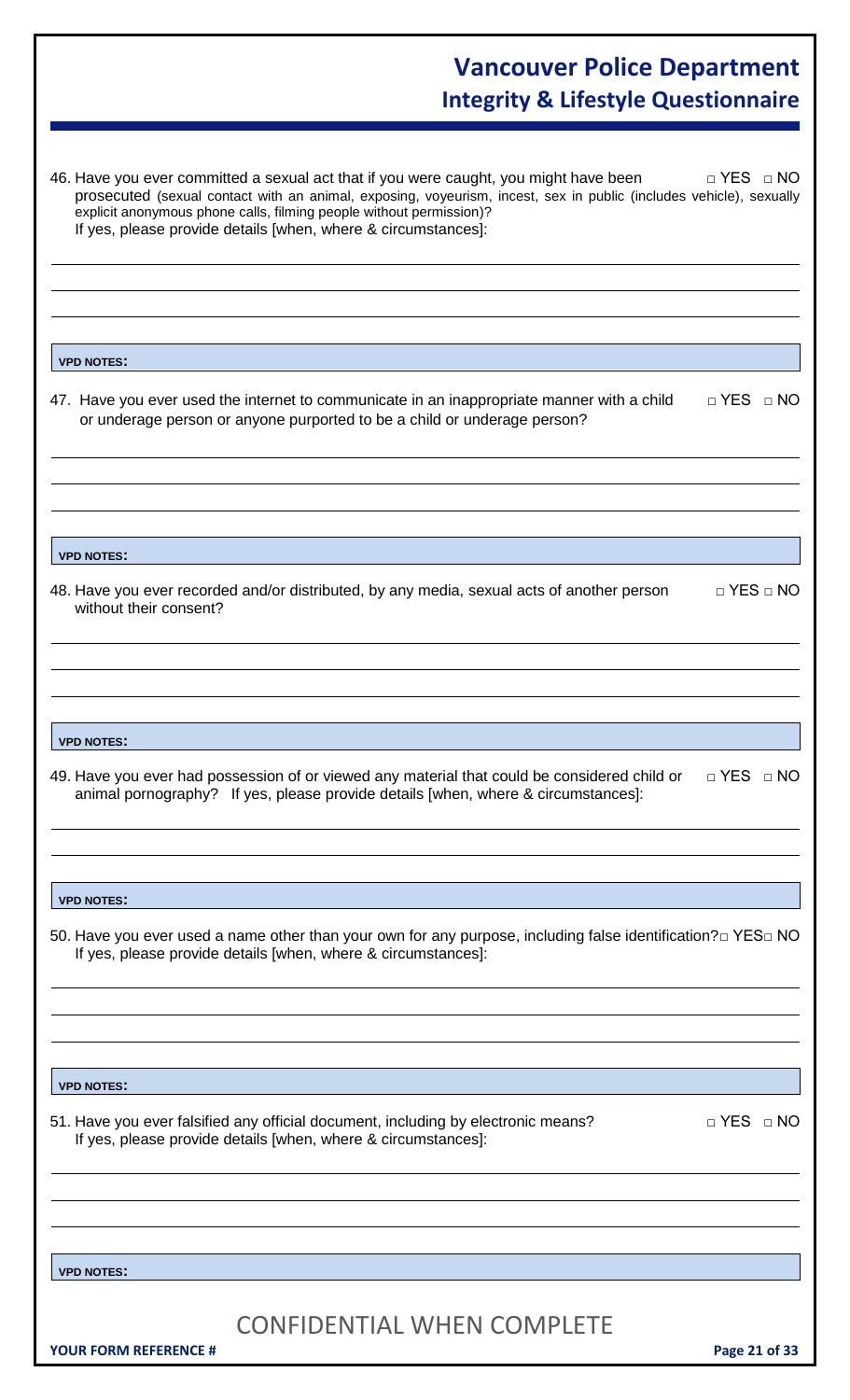|                              | 46. Have you ever committed a sexual act that if you were caught, you might have been<br>prosecuted (sexual contact with an animal, exposing, voyeurism, incest, sex in public (includes vehicle), sexually<br>explicit anonymous phone calls, filming people without permission)?<br>If yes, please provide details [when, where & circumstances]: | $\Box$ YES $\Box$ NO |
|------------------------------|-----------------------------------------------------------------------------------------------------------------------------------------------------------------------------------------------------------------------------------------------------------------------------------------------------------------------------------------------------|----------------------|
|                              |                                                                                                                                                                                                                                                                                                                                                     |                      |
|                              |                                                                                                                                                                                                                                                                                                                                                     |                      |
|                              |                                                                                                                                                                                                                                                                                                                                                     |                      |
| <b>VPD NOTES:</b>            |                                                                                                                                                                                                                                                                                                                                                     |                      |
|                              | 47. Have you ever used the internet to communicate in an inappropriate manner with a child<br>or underage person or anyone purported to be a child or underage person?                                                                                                                                                                              | DYES DNO             |
|                              |                                                                                                                                                                                                                                                                                                                                                     |                      |
| <b>VPD NOTES:</b>            |                                                                                                                                                                                                                                                                                                                                                     |                      |
| without their consent?       | 48. Have you ever recorded and/or distributed, by any media, sexual acts of another person                                                                                                                                                                                                                                                          | $\Box$ YES $\Box$ NO |
|                              |                                                                                                                                                                                                                                                                                                                                                     |                      |
|                              |                                                                                                                                                                                                                                                                                                                                                     |                      |
|                              |                                                                                                                                                                                                                                                                                                                                                     |                      |
| <b>VPD NOTES:</b>            | 49. Have you ever had possession of or viewed any material that could be considered child or<br>animal pornography? If yes, please provide details [when, where & circumstances]:                                                                                                                                                                   | $\Box$ YES $\Box$ NO |
| <b>VPD NOTES:</b>            |                                                                                                                                                                                                                                                                                                                                                     |                      |
|                              | 50. Have you ever used a name other than your own for any purpose, including false identification?□ YES□ NO<br>If yes, please provide details [when, where & circumstances]:                                                                                                                                                                        |                      |
|                              |                                                                                                                                                                                                                                                                                                                                                     |                      |
| <b>VPD NOTES:</b>            |                                                                                                                                                                                                                                                                                                                                                     |                      |
|                              | 51. Have you ever falsified any official document, including by electronic means?<br>If yes, please provide details [when, where & circumstances]:                                                                                                                                                                                                  | $\Box$ YES $\Box$ NO |
|                              |                                                                                                                                                                                                                                                                                                                                                     |                      |
| <b>VPD NOTES:</b>            |                                                                                                                                                                                                                                                                                                                                                     |                      |
|                              |                                                                                                                                                                                                                                                                                                                                                     |                      |
| <b>YOUR FORM REFERENCE #</b> | <b>CONFIDENTIAL WHEN COMPLETE</b>                                                                                                                                                                                                                                                                                                                   | Page 21 of 33        |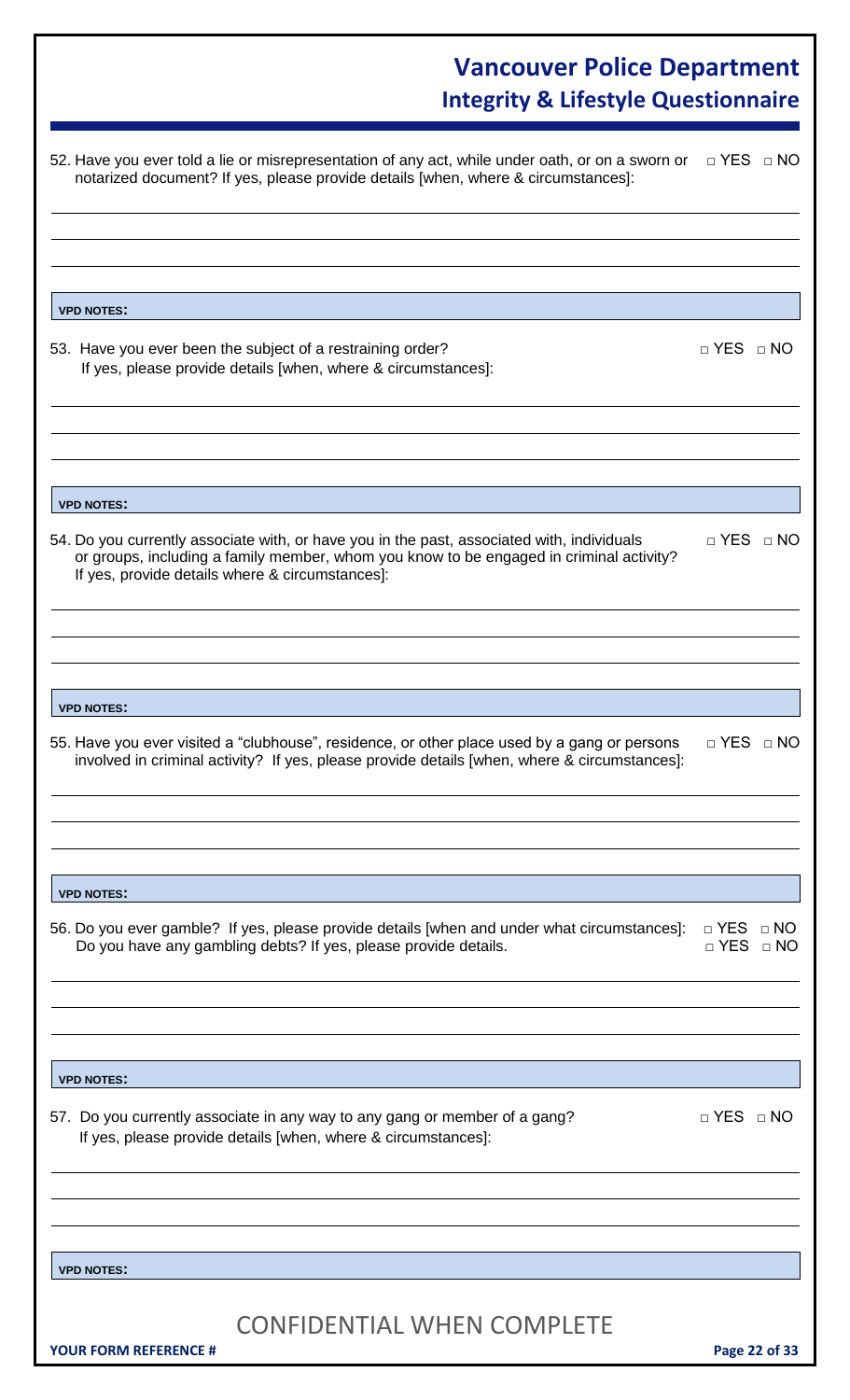|                              | 52. Have you ever told a lie or misrepresentation of any act, while under oath, or on a sworn or $\Box$ YES $\Box$ NO<br>notarized document? If yes, please provide details [when, where & circumstances]:                               |                        |               |
|------------------------------|------------------------------------------------------------------------------------------------------------------------------------------------------------------------------------------------------------------------------------------|------------------------|---------------|
|                              |                                                                                                                                                                                                                                          |                        |               |
|                              |                                                                                                                                                                                                                                          |                        |               |
|                              |                                                                                                                                                                                                                                          |                        |               |
| <b>VPD NOTES:</b>            |                                                                                                                                                                                                                                          |                        |               |
|                              | 53. Have you ever been the subject of a restraining order?<br>If yes, please provide details [when, where & circumstances]:                                                                                                              | $\Box$ YES $\Box$ NO   |               |
|                              |                                                                                                                                                                                                                                          |                        |               |
| <b>VPD NOTES:</b>            |                                                                                                                                                                                                                                          |                        |               |
|                              | 54. Do you currently associate with, or have you in the past, associated with, individuals<br>or groups, including a family member, whom you know to be engaged in criminal activity?<br>If yes, provide details where & circumstances]: | □ YES □ NO             |               |
|                              |                                                                                                                                                                                                                                          |                        |               |
|                              |                                                                                                                                                                                                                                          |                        |               |
|                              |                                                                                                                                                                                                                                          |                        |               |
| <b>VPD NOTES:</b>            | 55. Have you ever visited a "clubhouse", residence, or other place used by a gang or persons<br>involved in criminal activity? If yes, please provide details [when, where & circumstances]:                                             | □ YES □ NO             |               |
|                              |                                                                                                                                                                                                                                          |                        |               |
| <b>VPD NOTES:</b>            |                                                                                                                                                                                                                                          |                        |               |
|                              | 56. Do you ever gamble? If yes, please provide details [when and under what circumstances]:<br>Do you have any gambling debts? If yes, please provide details.                                                                           | DYES DNO<br>□ YES □ NO |               |
|                              |                                                                                                                                                                                                                                          |                        |               |
|                              |                                                                                                                                                                                                                                          |                        |               |
| <b>VPD NOTES:</b>            |                                                                                                                                                                                                                                          |                        |               |
|                              |                                                                                                                                                                                                                                          |                        |               |
|                              | 57. Do you currently associate in any way to any gang or member of a gang?<br>If yes, please provide details [when, where & circumstances]:                                                                                              | $\Box$ YES $\Box$ NO   |               |
|                              |                                                                                                                                                                                                                                          |                        |               |
|                              |                                                                                                                                                                                                                                          |                        |               |
| <b>VPD NOTES:</b>            |                                                                                                                                                                                                                                          |                        |               |
|                              |                                                                                                                                                                                                                                          |                        |               |
| <b>YOUR FORM REFERENCE #</b> | <b>CONFIDENTIAL WHEN COMPLETE</b>                                                                                                                                                                                                        |                        | Page 22 of 33 |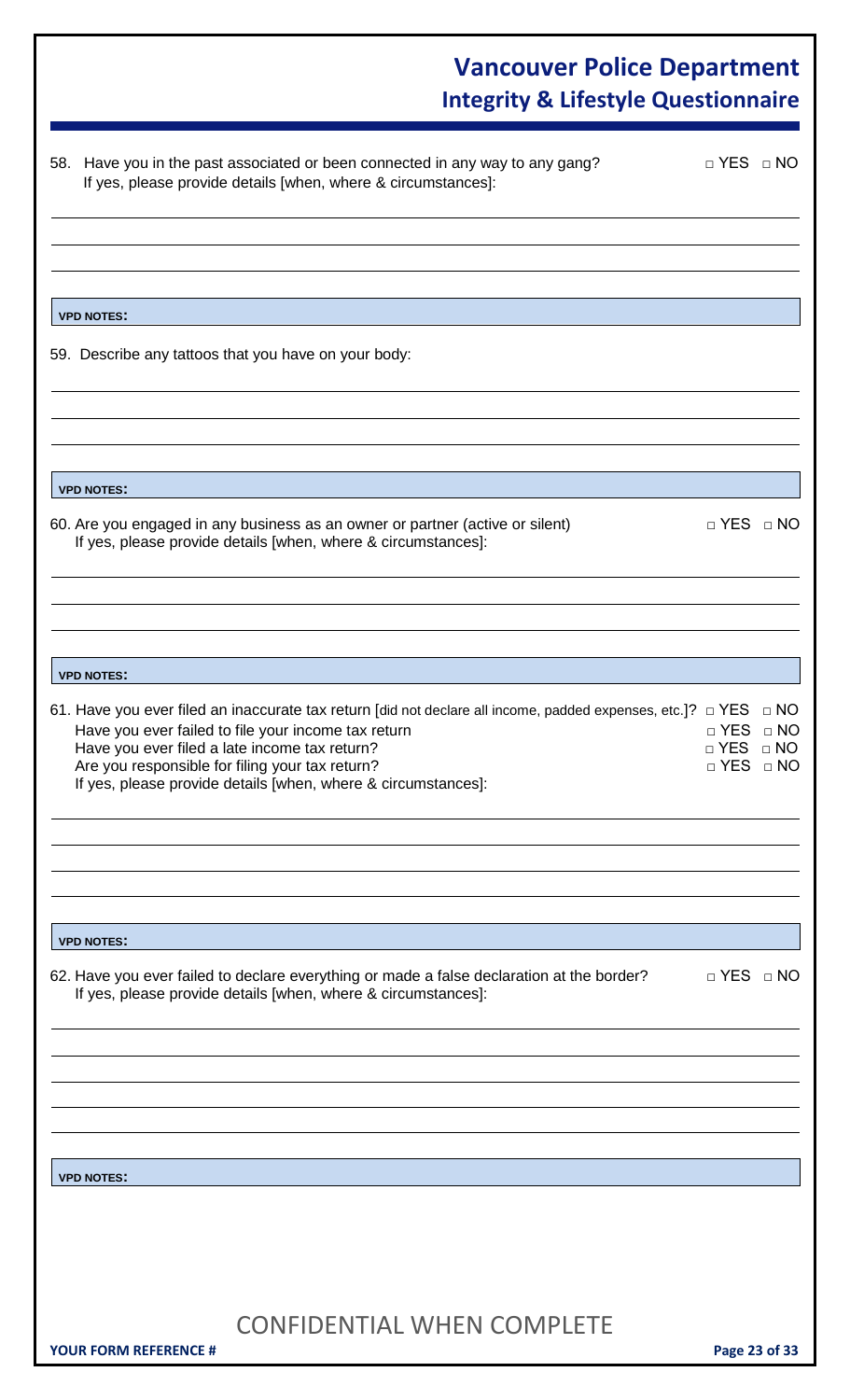| 58.                                                                                              | Have you in the past associated or been connected in any way to any gang?<br>If yes, please provide details [when, where & circumstances]:                                                                                               | DYES DNO                                         |               |
|--------------------------------------------------------------------------------------------------|------------------------------------------------------------------------------------------------------------------------------------------------------------------------------------------------------------------------------------------|--------------------------------------------------|---------------|
|                                                                                                  |                                                                                                                                                                                                                                          |                                                  |               |
| <b>VPD NOTES:</b>                                                                                |                                                                                                                                                                                                                                          |                                                  |               |
|                                                                                                  | 59. Describe any tattoos that you have on your body:                                                                                                                                                                                     |                                                  |               |
| <b>VPD NOTES:</b>                                                                                |                                                                                                                                                                                                                                          |                                                  |               |
|                                                                                                  | 60. Are you engaged in any business as an owner or partner (active or silent)<br>If yes, please provide details [when, where & circumstances]:                                                                                           | DYES DNO                                         |               |
| <b>VPD NOTES:</b>                                                                                |                                                                                                                                                                                                                                          |                                                  |               |
| Have you ever filed a late income tax return?<br>Are you responsible for filing your tax return? | 61. Have you ever filed an inaccurate tax return [did not declare all income, padded expenses, etc.]? □ YES □ NO<br>Have you ever failed to file your income tax return<br>If yes, please provide details [when, where & circumstances]: | □ YES □ NO<br>□ YES □ NO<br>$\Box$ YES $\Box$ NO |               |
|                                                                                                  |                                                                                                                                                                                                                                          |                                                  |               |
| <b>VPD NOTES:</b>                                                                                |                                                                                                                                                                                                                                          |                                                  |               |
|                                                                                                  | 62. Have you ever failed to declare everything or made a false declaration at the border?<br>If yes, please provide details [when, where & circumstances]:                                                                               | DYES DNO                                         |               |
|                                                                                                  |                                                                                                                                                                                                                                          |                                                  |               |
|                                                                                                  |                                                                                                                                                                                                                                          |                                                  |               |
| <b>VPD NOTES:</b>                                                                                | <b>CONFIDENTIAL WHEN COMPLETE</b>                                                                                                                                                                                                        |                                                  |               |
| <b>YOUR FORM REFERENCE #</b>                                                                     |                                                                                                                                                                                                                                          |                                                  | Page 23 of 33 |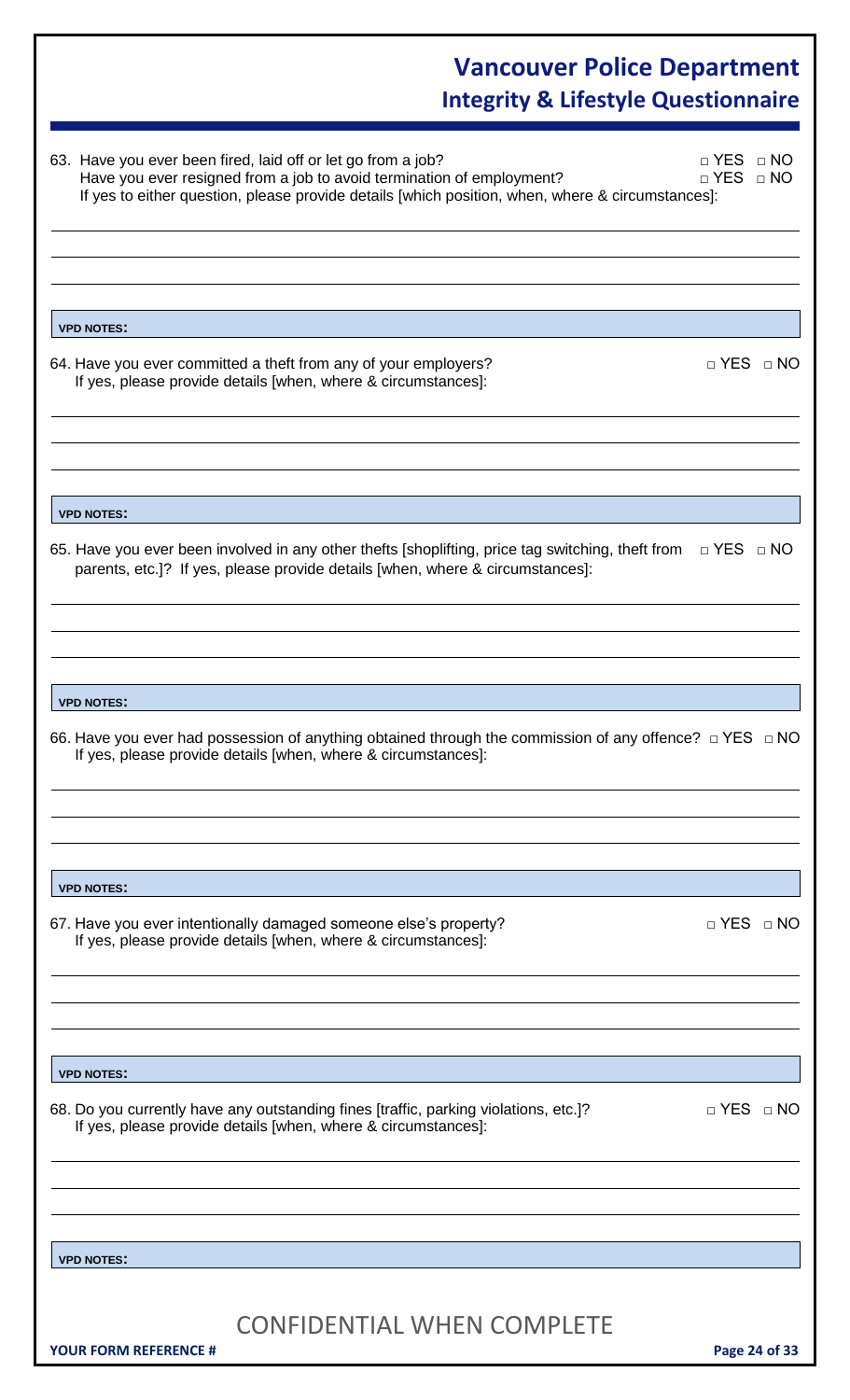|                              | 63. Have you ever been fired, laid off or let go from a job?<br>Have you ever resigned from a job to avoid termination of employment?<br>If yes to either question, please provide details [which position, when, where & circumstances]: | □ YES □ NO<br>$\Box$ YES<br>$\Box$ NO |
|------------------------------|-------------------------------------------------------------------------------------------------------------------------------------------------------------------------------------------------------------------------------------------|---------------------------------------|
|                              |                                                                                                                                                                                                                                           |                                       |
|                              |                                                                                                                                                                                                                                           |                                       |
|                              |                                                                                                                                                                                                                                           |                                       |
| <b>VPD NOTES:</b>            |                                                                                                                                                                                                                                           |                                       |
|                              | 64. Have you ever committed a theft from any of your employers?                                                                                                                                                                           | DYES DNO                              |
|                              | If yes, please provide details [when, where & circumstances]:                                                                                                                                                                             |                                       |
|                              |                                                                                                                                                                                                                                           |                                       |
|                              |                                                                                                                                                                                                                                           |                                       |
|                              |                                                                                                                                                                                                                                           |                                       |
| <b>VPD NOTES:</b>            |                                                                                                                                                                                                                                           |                                       |
|                              | 65. Have you ever been involved in any other thefts [shoplifting, price tag switching, theft from<br>parents, etc.]? If yes, please provide details [when, where & circumstances]:                                                        | DYES DNO                              |
|                              |                                                                                                                                                                                                                                           |                                       |
|                              |                                                                                                                                                                                                                                           |                                       |
|                              |                                                                                                                                                                                                                                           |                                       |
| <b>VPD NOTES:</b>            |                                                                                                                                                                                                                                           |                                       |
|                              | 66. Have you ever had possession of anything obtained through the commission of any offence? $\Box$ YES $\Box$ NO<br>If yes, please provide details [when, where & circumstances]:                                                        |                                       |
|                              |                                                                                                                                                                                                                                           |                                       |
| <b>VPD NOTES:</b>            |                                                                                                                                                                                                                                           |                                       |
|                              | 67. Have you ever intentionally damaged someone else's property?<br>If yes, please provide details [when, where & circumstances]:                                                                                                         | □ YES □ NO                            |
|                              |                                                                                                                                                                                                                                           |                                       |
|                              |                                                                                                                                                                                                                                           |                                       |
| <b>VPD NOTES:</b>            |                                                                                                                                                                                                                                           |                                       |
|                              | 68. Do you currently have any outstanding fines [traffic, parking violations, etc.]?<br>If yes, please provide details [when, where & circumstances]:                                                                                     | DYES DNO                              |
|                              |                                                                                                                                                                                                                                           |                                       |
|                              |                                                                                                                                                                                                                                           |                                       |
|                              |                                                                                                                                                                                                                                           |                                       |
| <b>VPD NOTES:</b>            |                                                                                                                                                                                                                                           |                                       |
|                              |                                                                                                                                                                                                                                           |                                       |
|                              | <b>CONFIDENTIAL WHEN COMPLETE</b>                                                                                                                                                                                                         |                                       |
| <b>YOUR FORM REFERENCE #</b> |                                                                                                                                                                                                                                           | Page 24 of 33                         |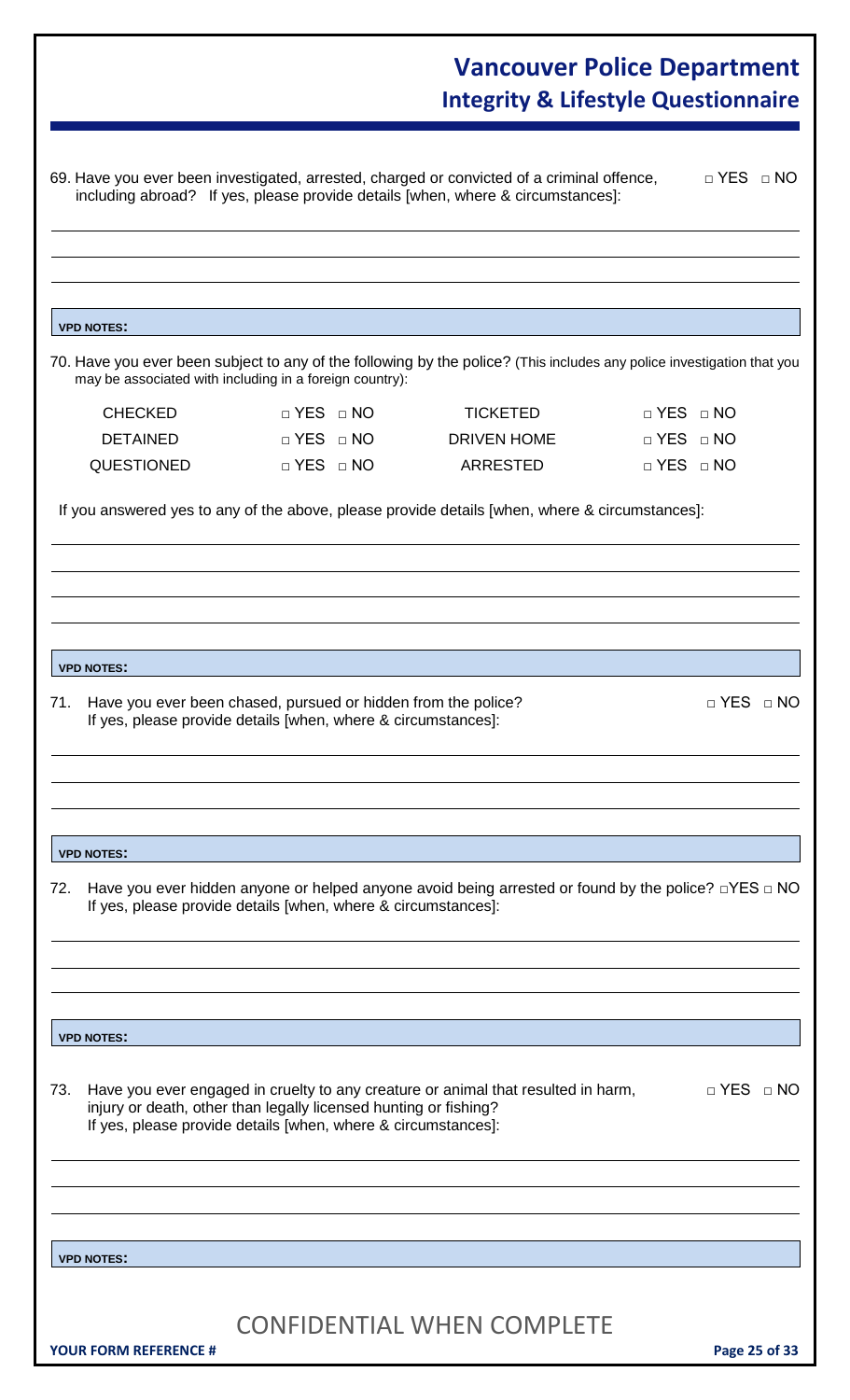|                              | 69. Have you ever been investigated, arrested, charged or convicted of a criminal offence,                                                                                                                             |                                   |                      | $\Box$ YES $\Box$ NO |  |
|------------------------------|------------------------------------------------------------------------------------------------------------------------------------------------------------------------------------------------------------------------|-----------------------------------|----------------------|----------------------|--|
|                              | including abroad? If yes, please provide details [when, where & circumstances]:                                                                                                                                        |                                   |                      |                      |  |
|                              |                                                                                                                                                                                                                        |                                   |                      |                      |  |
|                              |                                                                                                                                                                                                                        |                                   |                      |                      |  |
| <b>VPD NOTES:</b>            |                                                                                                                                                                                                                        |                                   |                      |                      |  |
|                              | 70. Have you ever been subject to any of the following by the police? (This includes any police investigation that you<br>may be associated with including in a foreign country):                                      |                                   |                      |                      |  |
| <b>CHECKED</b>               | $\Box$ YES $\Box$ NO                                                                                                                                                                                                   | <b>TICKETED</b>                   | $\Box$ YES $\Box$ NO |                      |  |
| <b>DETAINED</b>              | $\Box$ YES $\Box$ NO                                                                                                                                                                                                   | <b>DRIVEN HOME</b>                | $\Box$ YES $\Box$ NO |                      |  |
| <b>QUESTIONED</b>            | $\Box$ YES $\Box$ NO                                                                                                                                                                                                   | <b>ARRESTED</b>                   | DYES DNO             |                      |  |
|                              | If you answered yes to any of the above, please provide details [when, where & circumstances]:                                                                                                                         |                                   |                      |                      |  |
|                              |                                                                                                                                                                                                                        |                                   |                      |                      |  |
|                              |                                                                                                                                                                                                                        |                                   |                      |                      |  |
| <b>VPD NOTES:</b>            |                                                                                                                                                                                                                        |                                   |                      |                      |  |
| 71.                          | Have you ever been chased, pursued or hidden from the police?<br>If yes, please provide details [when, where & circumstances]:                                                                                         |                                   |                      | □ YES □ NO           |  |
|                              |                                                                                                                                                                                                                        |                                   |                      |                      |  |
|                              |                                                                                                                                                                                                                        |                                   |                      |                      |  |
|                              |                                                                                                                                                                                                                        |                                   |                      |                      |  |
| <b>VPD NOTES:</b>            |                                                                                                                                                                                                                        |                                   |                      |                      |  |
| 72.                          | Have you ever hidden anyone or helped anyone avoid being arrested or found by the police? $\Box$ YES $\Box$ NO<br>If yes, please provide details [when, where & circumstances]:                                        |                                   |                      |                      |  |
|                              |                                                                                                                                                                                                                        |                                   |                      |                      |  |
|                              |                                                                                                                                                                                                                        |                                   |                      |                      |  |
| <b>VPD NOTES:</b>            |                                                                                                                                                                                                                        |                                   |                      |                      |  |
| 73.                          | Have you ever engaged in cruelty to any creature or animal that resulted in harm,<br>injury or death, other than legally licensed hunting or fishing?<br>If yes, please provide details [when, where & circumstances]: |                                   |                      | $\Box$ YES $\Box$ NO |  |
|                              |                                                                                                                                                                                                                        |                                   |                      |                      |  |
|                              |                                                                                                                                                                                                                        |                                   |                      |                      |  |
|                              |                                                                                                                                                                                                                        |                                   |                      |                      |  |
| <b>VPD NOTES:</b>            |                                                                                                                                                                                                                        |                                   |                      |                      |  |
|                              |                                                                                                                                                                                                                        |                                   |                      |                      |  |
| <b>YOUR FORM REFERENCE #</b> |                                                                                                                                                                                                                        | <b>CONFIDENTIAL WHEN COMPLETE</b> |                      | Page 25 of 33        |  |
|                              |                                                                                                                                                                                                                        |                                   |                      |                      |  |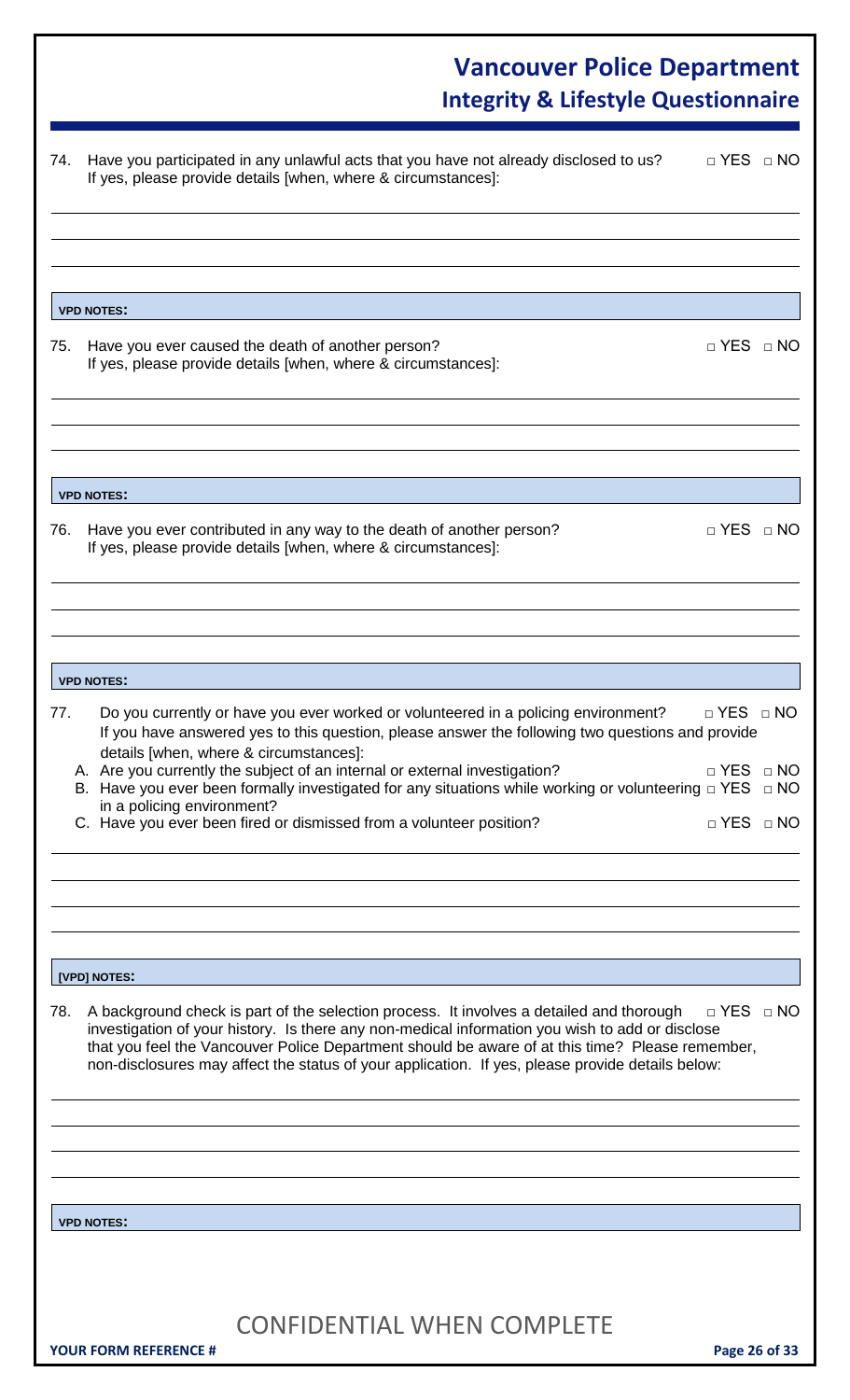| 74. | Have you participated in any unlawful acts that you have not already disclosed to us?<br>If yes, please provide details [when, where & circumstances]:                                                                                                                                                                                                                                                                                  | $\Box$ YES $\Box$ NO             |               |
|-----|-----------------------------------------------------------------------------------------------------------------------------------------------------------------------------------------------------------------------------------------------------------------------------------------------------------------------------------------------------------------------------------------------------------------------------------------|----------------------------------|---------------|
|     |                                                                                                                                                                                                                                                                                                                                                                                                                                         |                                  |               |
|     | <b>VPD NOTES:</b>                                                                                                                                                                                                                                                                                                                                                                                                                       |                                  |               |
| 75. | Have you ever caused the death of another person?<br>If yes, please provide details [when, where & circumstances]:                                                                                                                                                                                                                                                                                                                      | $\Box$ YES $\Box$ NO             |               |
|     | <b>VPD NOTES:</b>                                                                                                                                                                                                                                                                                                                                                                                                                       |                                  |               |
| 76. | Have you ever contributed in any way to the death of another person?<br>If yes, please provide details [when, where & circumstances]:                                                                                                                                                                                                                                                                                                   | $\Box$ YES $\Box$ NO             |               |
|     |                                                                                                                                                                                                                                                                                                                                                                                                                                         |                                  |               |
| 77. | <b>VPD NOTES:</b><br>Do you currently or have you ever worked or volunteered in a policing environment?<br>If you have answered yes to this question, please answer the following two questions and provide<br>details [when, where & circumstances]:<br>A. Are you currently the subject of an internal or external investigation?                                                                                                     | DYES DNO<br>$\Box$ YES $\Box$ NO |               |
|     | B. Have you ever been formally investigated for any situations while working or volunteering $\Box$ YES $\Box$ NO<br>in a policing environment?<br>C. Have you ever been fired or dismissed from a volunteer position?                                                                                                                                                                                                                  | □ YES □ NO                       |               |
|     |                                                                                                                                                                                                                                                                                                                                                                                                                                         |                                  |               |
| 78. | [VPD] NOTES:<br>A background check is part of the selection process. It involves a detailed and thorough $\Box$ YES $\Box$ NO<br>investigation of your history. Is there any non-medical information you wish to add or disclose<br>that you feel the Vancouver Police Department should be aware of at this time? Please remember,<br>non-disclosures may affect the status of your application. If yes, please provide details below: |                                  |               |
|     |                                                                                                                                                                                                                                                                                                                                                                                                                                         |                                  |               |
|     | <b>VPD NOTES:</b>                                                                                                                                                                                                                                                                                                                                                                                                                       |                                  |               |
|     | <b>CONFIDENTIAL WHEN COMPLETE</b><br><b>YOUR FORM REFERENCE #</b>                                                                                                                                                                                                                                                                                                                                                                       |                                  | Page 26 of 33 |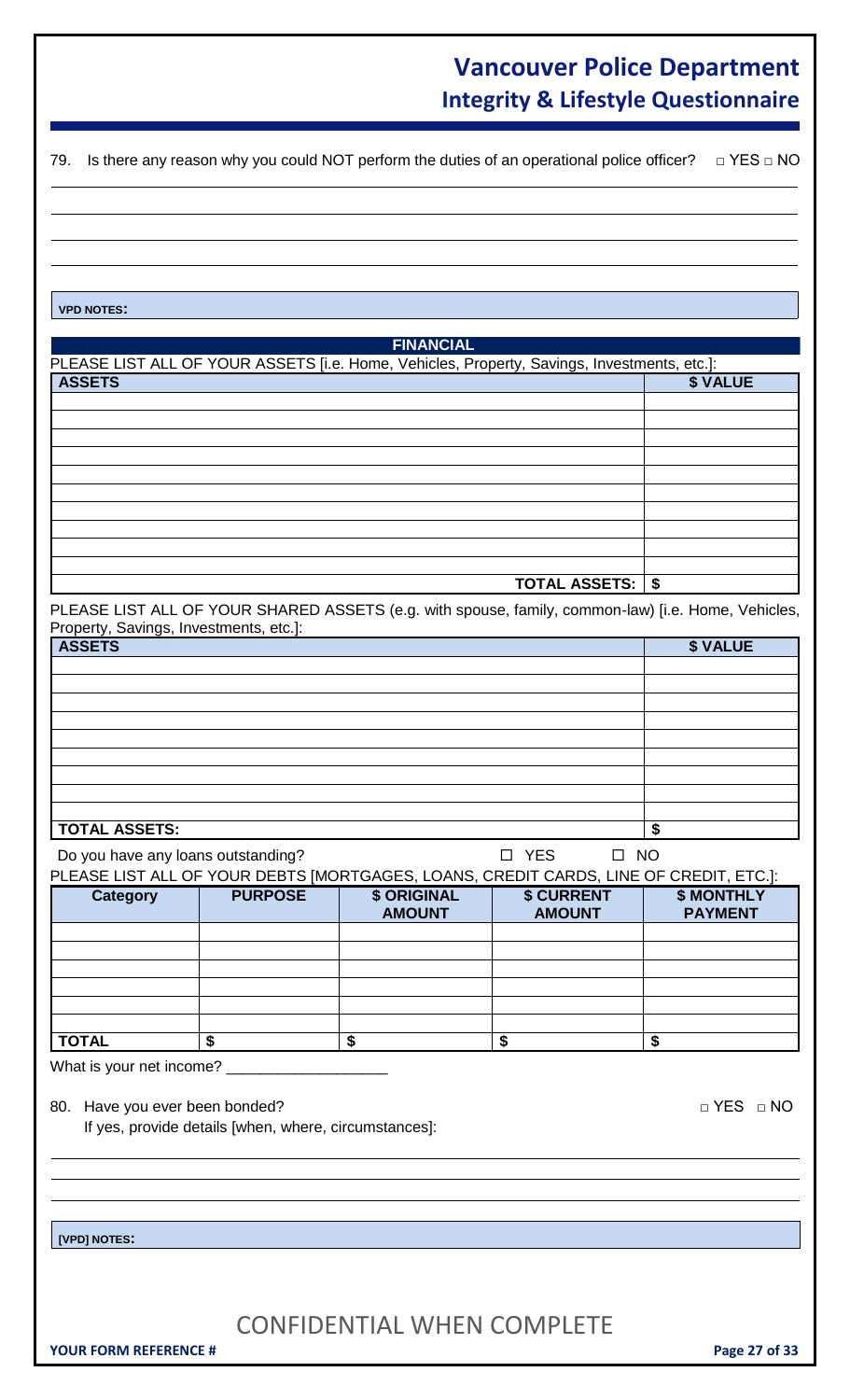|  |  | 79. Is there any reason why you could NOT perform the duties of an operational police officer? $\Box$ YES $\Box$ NO |  |
|--|--|---------------------------------------------------------------------------------------------------------------------|--|
|--|--|---------------------------------------------------------------------------------------------------------------------|--|

**VPD NOTES:** 

| <b>FINANCIAL</b>                                                                            |                |
|---------------------------------------------------------------------------------------------|----------------|
| PLEASE LIST ALL OF YOUR ASSETS [i.e. Home, Vehicles, Property, Savings, Investments, etc.]: |                |
| <b>ASSETS</b>                                                                               | <b>\$VALUE</b> |
|                                                                                             |                |
|                                                                                             |                |
|                                                                                             |                |
|                                                                                             |                |
|                                                                                             |                |
|                                                                                             |                |
|                                                                                             |                |
|                                                                                             |                |
|                                                                                             |                |
|                                                                                             |                |
| <b>TOTAL ASSETS:   \$</b>                                                                   |                |

PLEASE LIST ALL OF YOUR SHARED ASSETS (e.g. with spouse, family, common-law) [i.e. Home, Vehicles, Property, Savings, Investments, etc.]:

| <b>ASSETS</b>        | <b>\$ VALUE</b> |
|----------------------|-----------------|
|                      |                 |
|                      |                 |
|                      |                 |
|                      |                 |
|                      |                 |
|                      |                 |
|                      |                 |
|                      |                 |
|                      |                 |
| <b>TOTAL ASSETS:</b> |                 |

| Do you have any loans outstanding? |                |                                                                                       | □ YES<br>$\Box$ NO          |                              |
|------------------------------------|----------------|---------------------------------------------------------------------------------------|-----------------------------|------------------------------|
|                                    |                | PLEASE LIST ALL OF YOUR DEBTS [MORTGAGES, LOANS, CREDIT CARDS, LINE OF CREDIT, ETC.]: |                             |                              |
| Category                           | <b>PURPOSE</b> | \$ ORIGINAL<br><b>AMOUNT</b>                                                          | \$ CURRENT<br><b>AMOUNT</b> | \$ MONTHLY<br><b>PAYMENT</b> |
|                                    |                |                                                                                       |                             |                              |
|                                    |                |                                                                                       |                             |                              |
|                                    |                |                                                                                       |                             |                              |
|                                    |                |                                                                                       |                             |                              |

**TOTAL \$ \$ \$ \$**

What is your net income? \_

80. Have you ever been bonded? □ YES □ NO If yes, provide details [when, where, circumstances]:

**[VPD] NOTES:**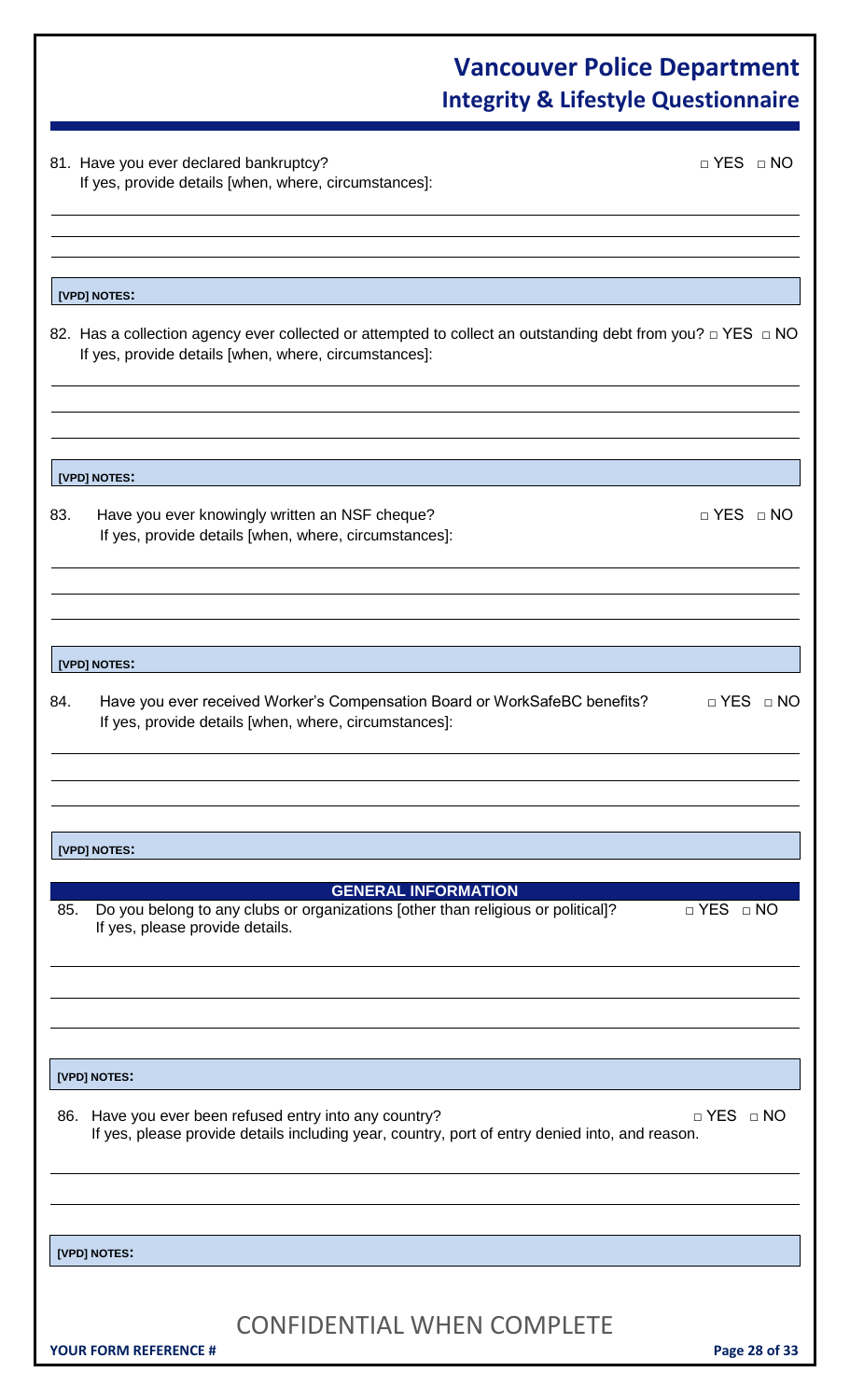|     | 81. Have you ever declared bankruptcy?<br>If yes, provide details [when, where, circumstances]:                                                                      | $\Box$ YES $\Box$ NO |
|-----|----------------------------------------------------------------------------------------------------------------------------------------------------------------------|----------------------|
|     |                                                                                                                                                                      |                      |
|     |                                                                                                                                                                      |                      |
|     | [VPD] NOTES:                                                                                                                                                         |                      |
|     | 82. Has a collection agency ever collected or attempted to collect an outstanding debt from you? □ YES □ NO<br>If yes, provide details [when, where, circumstances]: |                      |
|     | [VPD] NOTES:                                                                                                                                                         |                      |
| 83. | Have you ever knowingly written an NSF cheque?<br>If yes, provide details [when, where, circumstances]:                                                              | DYES DNO             |
|     |                                                                                                                                                                      |                      |
|     | [VPD] NOTES:                                                                                                                                                         |                      |
| 84. | Have you ever received Worker's Compensation Board or WorkSafeBC benefits?<br>If yes, provide details [when, where, circumstances]:                                  | $\Box$ YES $\Box$ NO |
|     |                                                                                                                                                                      |                      |
|     | [VPD] NOTES:                                                                                                                                                         |                      |
|     |                                                                                                                                                                      |                      |
| 85. | <b>GENERAL INFORMATION</b><br>Do you belong to any clubs or organizations [other than religious or political]?<br>If yes, please provide details.                    | $\Box$ YES $\Box$ NO |
|     |                                                                                                                                                                      |                      |
|     | [VPD] NOTES:                                                                                                                                                         |                      |
| 86. | Have you ever been refused entry into any country?<br>If yes, please provide details including year, country, port of entry denied into, and reason.                 | $\Box$ YES $\Box$ NO |
|     |                                                                                                                                                                      |                      |
|     |                                                                                                                                                                      |                      |
|     | [VPD] NOTES:                                                                                                                                                         |                      |
|     | <b>CONFIDENTIAL WHEN COMPLETE</b>                                                                                                                                    |                      |
|     | <b>YOUR FORM REFERENCE #</b>                                                                                                                                         | Page 28 of 33        |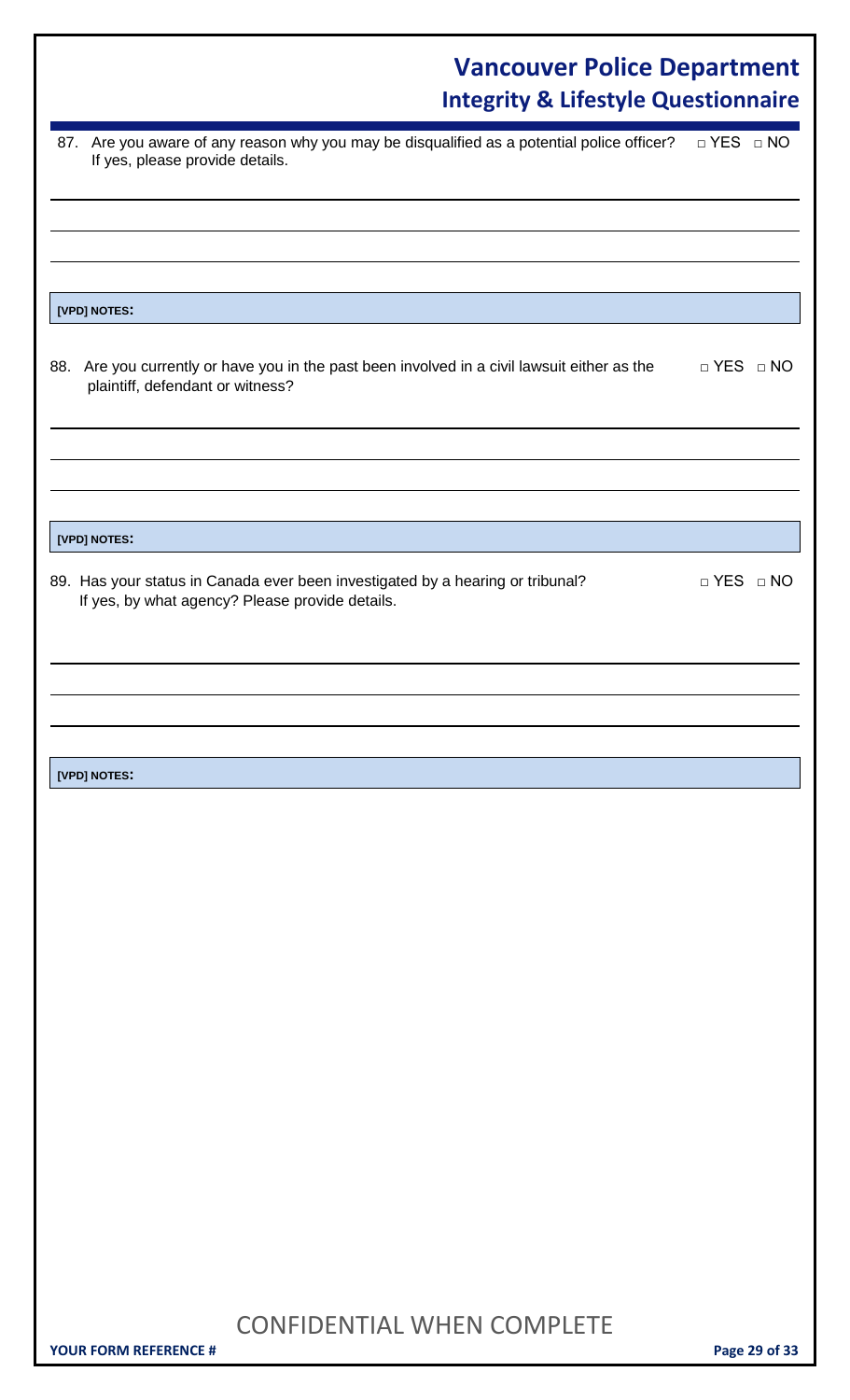| <b>Vancouver Police Department</b>             |
|------------------------------------------------|
| <b>Integrity &amp; Lifestyle Questionnaire</b> |

| 87. | Are you aware of any reason why you may be disqualified as a potential police officer?<br>If yes, please provide details.         | □ YES □ NO           |  |
|-----|-----------------------------------------------------------------------------------------------------------------------------------|----------------------|--|
|     |                                                                                                                                   |                      |  |
|     |                                                                                                                                   |                      |  |
|     |                                                                                                                                   |                      |  |
|     | [VPD] NOTES:                                                                                                                      |                      |  |
|     |                                                                                                                                   |                      |  |
|     | 88. Are you currently or have you in the past been involved in a civil lawsuit either as the<br>plaintiff, defendant or witness?  | DYES DNO             |  |
|     |                                                                                                                                   |                      |  |
|     |                                                                                                                                   |                      |  |
|     |                                                                                                                                   |                      |  |
|     | [VPD] NOTES:                                                                                                                      |                      |  |
|     | 89. Has your status in Canada ever been investigated by a hearing or tribunal?<br>If yes, by what agency? Please provide details. | $\Box$ YES $\Box$ NO |  |
|     |                                                                                                                                   |                      |  |
|     |                                                                                                                                   |                      |  |
|     |                                                                                                                                   |                      |  |
|     |                                                                                                                                   |                      |  |
|     | [VPD] NOTES:                                                                                                                      |                      |  |
|     |                                                                                                                                   |                      |  |
|     |                                                                                                                                   |                      |  |
|     |                                                                                                                                   |                      |  |
|     |                                                                                                                                   |                      |  |
|     |                                                                                                                                   |                      |  |
|     |                                                                                                                                   |                      |  |
|     |                                                                                                                                   |                      |  |
|     |                                                                                                                                   |                      |  |
|     |                                                                                                                                   |                      |  |
|     |                                                                                                                                   |                      |  |
|     |                                                                                                                                   |                      |  |
|     |                                                                                                                                   |                      |  |
|     |                                                                                                                                   |                      |  |
|     |                                                                                                                                   |                      |  |
|     |                                                                                                                                   |                      |  |
|     |                                                                                                                                   |                      |  |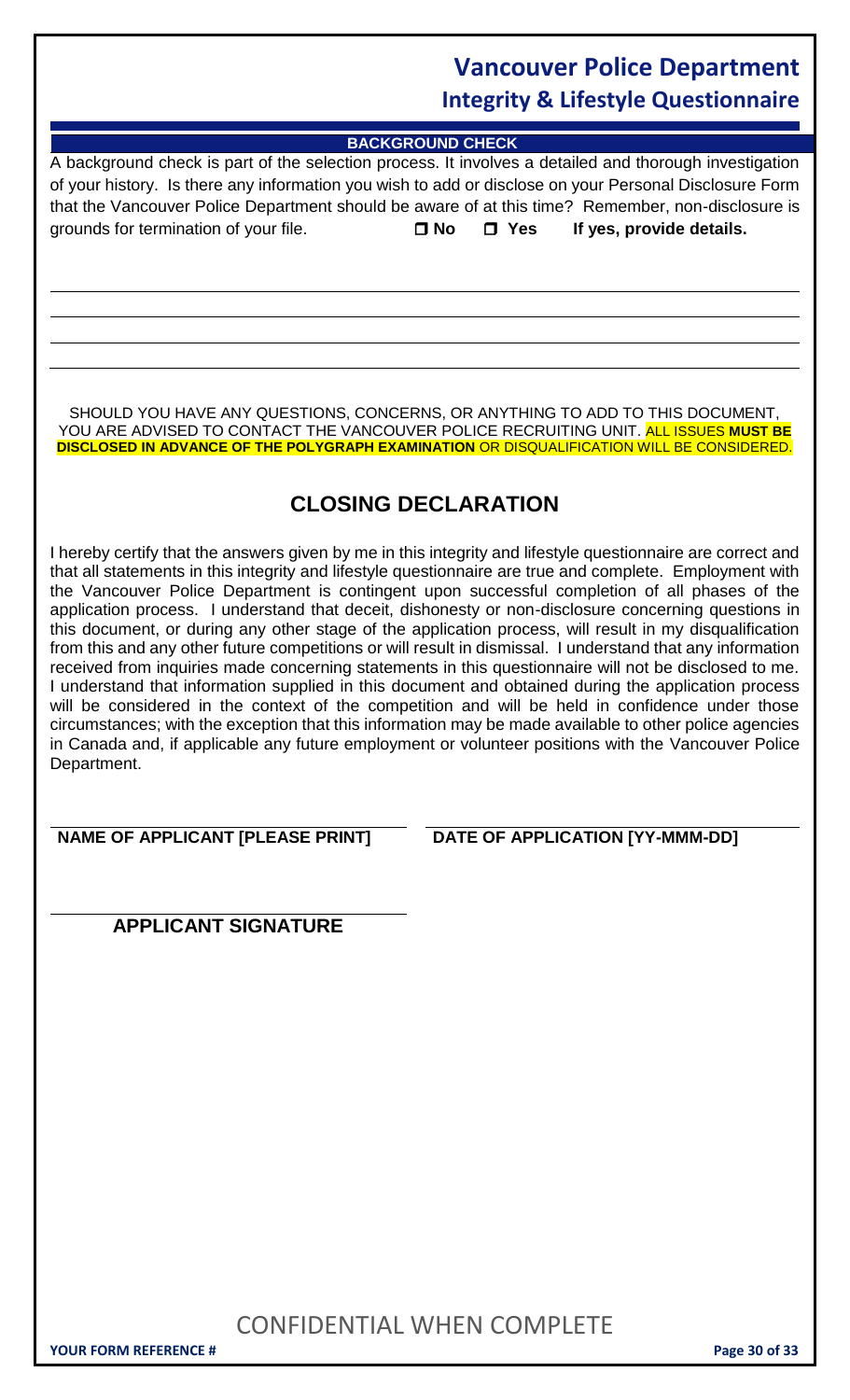|                                       | <b>BACKGROUND CHECK</b>                                                                                                                                                                                                                                                                                                                                                                                                                                                                                                                                                                                                                                                                                                                                                                                                                                                                                                                                                                                                                                                                                                                                                                      |
|---------------------------------------|----------------------------------------------------------------------------------------------------------------------------------------------------------------------------------------------------------------------------------------------------------------------------------------------------------------------------------------------------------------------------------------------------------------------------------------------------------------------------------------------------------------------------------------------------------------------------------------------------------------------------------------------------------------------------------------------------------------------------------------------------------------------------------------------------------------------------------------------------------------------------------------------------------------------------------------------------------------------------------------------------------------------------------------------------------------------------------------------------------------------------------------------------------------------------------------------|
| grounds for termination of your file. | A background check is part of the selection process. It involves a detailed and thorough investigation<br>of your history. Is there any information you wish to add or disclose on your Personal Disclosure Form<br>that the Vancouver Police Department should be aware of at this time? Remember, non-disclosure is<br>$\square$ Yes<br>$\square$ No<br>If yes, provide details.                                                                                                                                                                                                                                                                                                                                                                                                                                                                                                                                                                                                                                                                                                                                                                                                           |
|                                       |                                                                                                                                                                                                                                                                                                                                                                                                                                                                                                                                                                                                                                                                                                                                                                                                                                                                                                                                                                                                                                                                                                                                                                                              |
|                                       |                                                                                                                                                                                                                                                                                                                                                                                                                                                                                                                                                                                                                                                                                                                                                                                                                                                                                                                                                                                                                                                                                                                                                                                              |
|                                       | SHOULD YOU HAVE ANY QUESTIONS, CONCERNS, OR ANYTHING TO ADD TO THIS DOCUMENT,<br>YOU ARE ADVISED TO CONTACT THE VANCOUVER POLICE RECRUITING UNIT. ALL ISSUES MUST BE<br>DISCLOSED IN ADVANCE OF THE POLYGRAPH EXAMINATION OR DISQUALIFICATION WILL BE CONSIDERED.                                                                                                                                                                                                                                                                                                                                                                                                                                                                                                                                                                                                                                                                                                                                                                                                                                                                                                                            |
|                                       | <b>CLOSING DECLARATION</b>                                                                                                                                                                                                                                                                                                                                                                                                                                                                                                                                                                                                                                                                                                                                                                                                                                                                                                                                                                                                                                                                                                                                                                   |
| Department.                           | I hereby certify that the answers given by me in this integrity and lifestyle questionnaire are correct and<br>that all statements in this integrity and lifestyle questionnaire are true and complete. Employment with<br>the Vancouver Police Department is contingent upon successful completion of all phases of the<br>application process. I understand that deceit, dishonesty or non-disclosure concerning questions in<br>this document, or during any other stage of the application process, will result in my disqualification<br>from this and any other future competitions or will result in dismissal. I understand that any information<br>received from inquiries made concerning statements in this questionnaire will not be disclosed to me.<br>I understand that information supplied in this document and obtained during the application process<br>will be considered in the context of the competition and will be held in confidence under those<br>circumstances; with the exception that this information may be made available to other police agencies<br>in Canada and, if applicable any future employment or volunteer positions with the Vancouver Police |
| NAME OF APPLICANT [PLEASE PRINT]      | DATE OF APPLICATION [YY-MMM-DD]                                                                                                                                                                                                                                                                                                                                                                                                                                                                                                                                                                                                                                                                                                                                                                                                                                                                                                                                                                                                                                                                                                                                                              |
| <b>APPLICANT SIGNATURE</b>            |                                                                                                                                                                                                                                                                                                                                                                                                                                                                                                                                                                                                                                                                                                                                                                                                                                                                                                                                                                                                                                                                                                                                                                                              |
|                                       |                                                                                                                                                                                                                                                                                                                                                                                                                                                                                                                                                                                                                                                                                                                                                                                                                                                                                                                                                                                                                                                                                                                                                                                              |
|                                       |                                                                                                                                                                                                                                                                                                                                                                                                                                                                                                                                                                                                                                                                                                                                                                                                                                                                                                                                                                                                                                                                                                                                                                                              |
|                                       |                                                                                                                                                                                                                                                                                                                                                                                                                                                                                                                                                                                                                                                                                                                                                                                                                                                                                                                                                                                                                                                                                                                                                                                              |
|                                       |                                                                                                                                                                                                                                                                                                                                                                                                                                                                                                                                                                                                                                                                                                                                                                                                                                                                                                                                                                                                                                                                                                                                                                                              |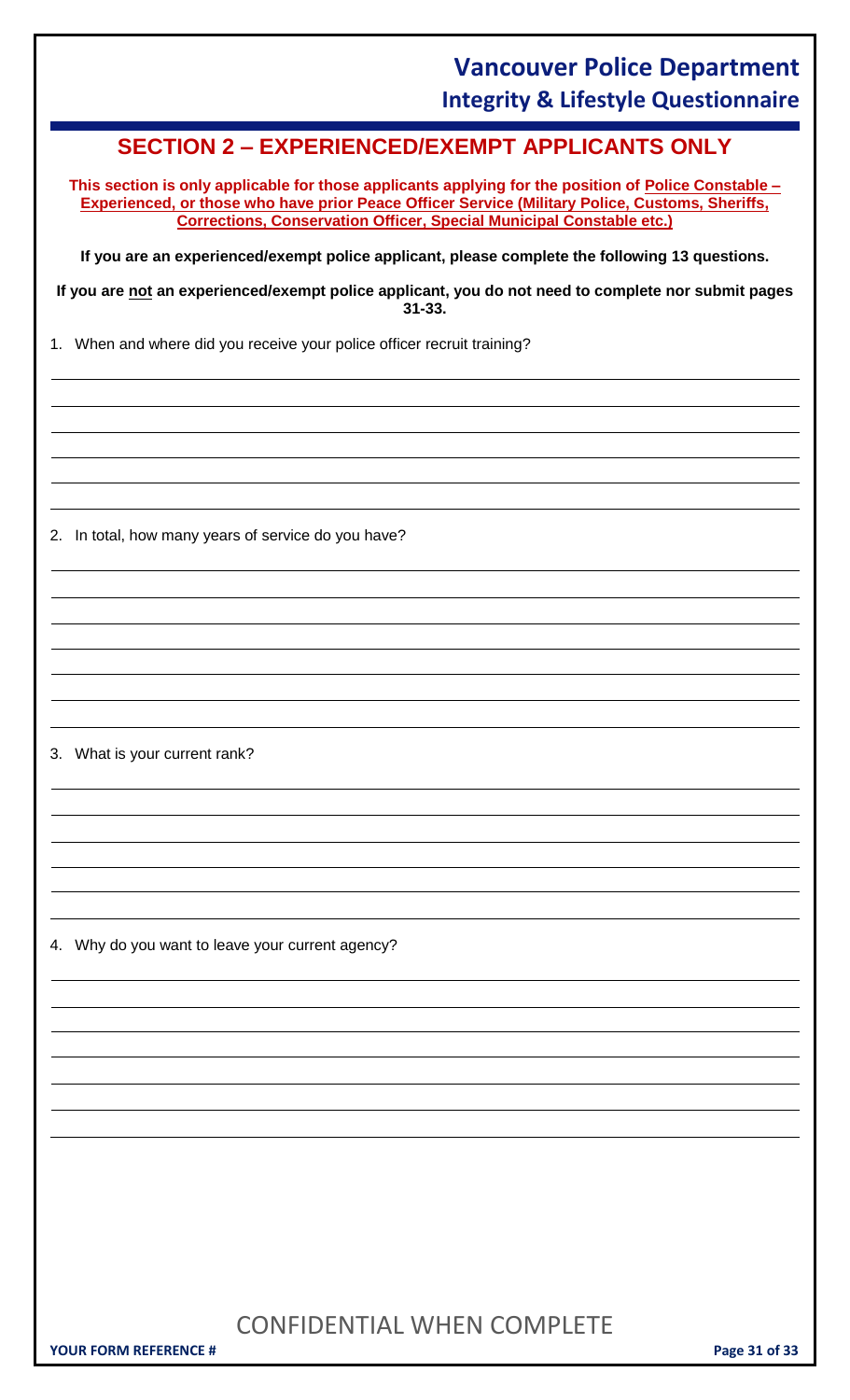# **SECTION 2 – EXPERIENCED/EXEMPT APPLICANTS ONLY This section is only applicable for those applicants applying for the position of Police Constable – Experienced, or those who have prior Peace Officer Service (Military Police, Customs, Sheriffs, Corrections, Conservation Officer, Special Municipal Constable etc.) If you are an experienced/exempt police applicant, please complete the following 13 questions. If you are not an experienced/exempt police applicant, you do not need to complete nor submit pages 31-33.** 1. When and where did you receive your police officer recruit training? 2. In total, how many years of service do you have? 3. What is your current rank? 4. Why do you want to leave your current agency?

#### CONFIDENTIAL WHEN COMPLETE

**YOUR FORM REFERENCE # Page 31 of 33**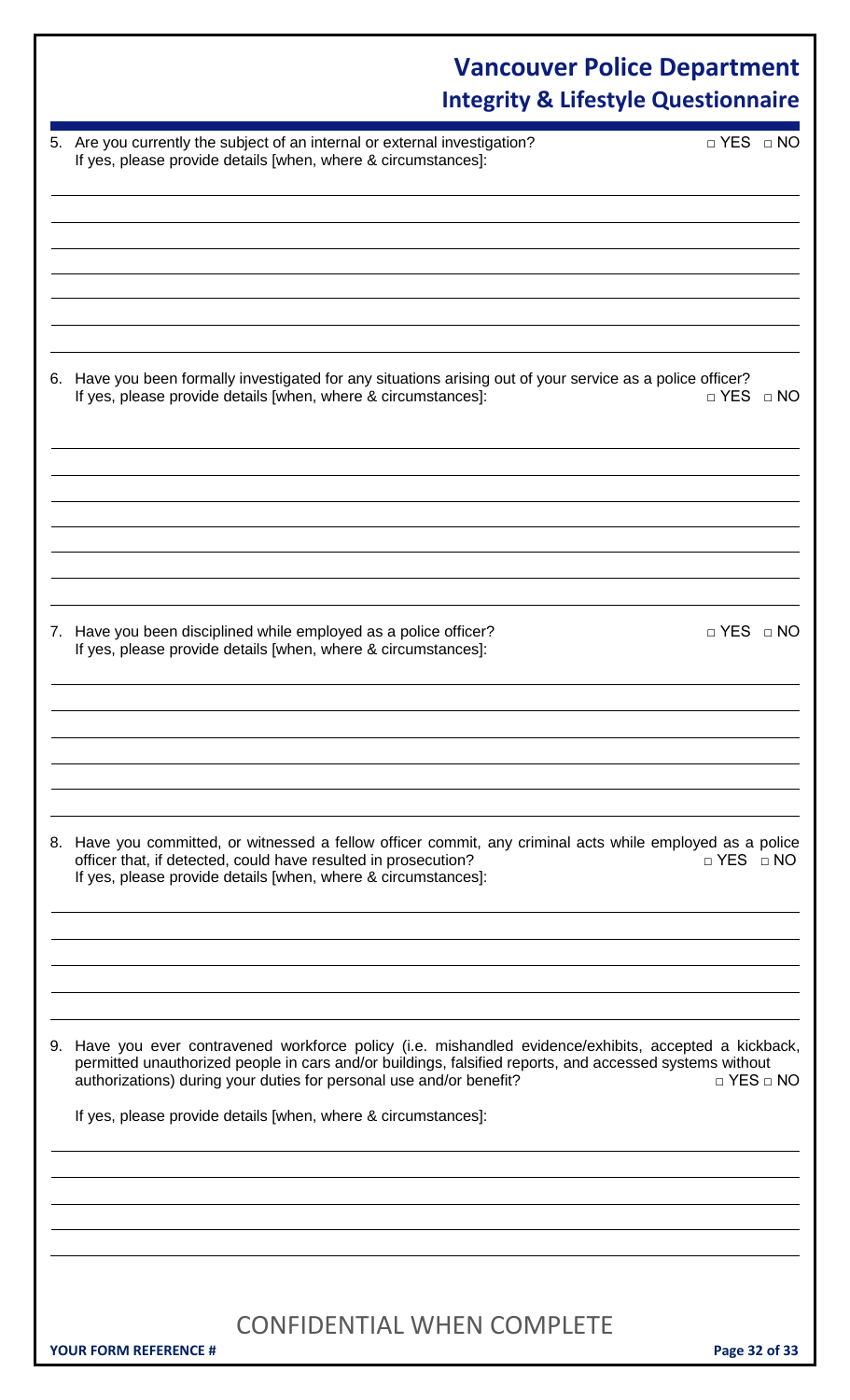| 5. Are you currently the subject of an internal or external investigation?<br>If yes, please provide details [when, where & circumstances]:                                                                                                                                              | □ YES □ NO           |                      |
|------------------------------------------------------------------------------------------------------------------------------------------------------------------------------------------------------------------------------------------------------------------------------------------|----------------------|----------------------|
|                                                                                                                                                                                                                                                                                          |                      |                      |
|                                                                                                                                                                                                                                                                                          |                      |                      |
|                                                                                                                                                                                                                                                                                          |                      |                      |
| 6. Have you been formally investigated for any situations arising out of your service as a police officer?<br>If yes, please provide details [when, where & circumstances]:                                                                                                              | $\neg$ YES $\neg$ NO |                      |
|                                                                                                                                                                                                                                                                                          |                      |                      |
|                                                                                                                                                                                                                                                                                          |                      |                      |
| 7. Have you been disciplined while employed as a police officer?<br>If yes, please provide details [when, where & circumstances]:                                                                                                                                                        | □ YES □ NO           |                      |
|                                                                                                                                                                                                                                                                                          |                      |                      |
|                                                                                                                                                                                                                                                                                          |                      |                      |
| 8. Have you committed, or witnessed a fellow officer commit, any criminal acts while employed as a police<br>officer that, if detected, could have resulted in prosecution?<br>If yes, please provide details [when, where & circumstances]:                                             | $\neg$ YES $\neg$ NO |                      |
|                                                                                                                                                                                                                                                                                          |                      |                      |
|                                                                                                                                                                                                                                                                                          |                      |                      |
| 9. Have you ever contravened workforce policy (i.e. mishandled evidence/exhibits, accepted a kickback,<br>permitted unauthorized people in cars and/or buildings, falsified reports, and accessed systems without<br>authorizations) during your duties for personal use and/or benefit? |                      | $\Box$ YES $\Box$ NO |
| If yes, please provide details [when, where & circumstances]:                                                                                                                                                                                                                            |                      |                      |
|                                                                                                                                                                                                                                                                                          |                      |                      |
|                                                                                                                                                                                                                                                                                          |                      |                      |
| <b>CONFIDENTIAL WHEN COMPLETE</b><br><b>YOUR FORM REFERENCE #</b>                                                                                                                                                                                                                        |                      | Page 32 of 33        |